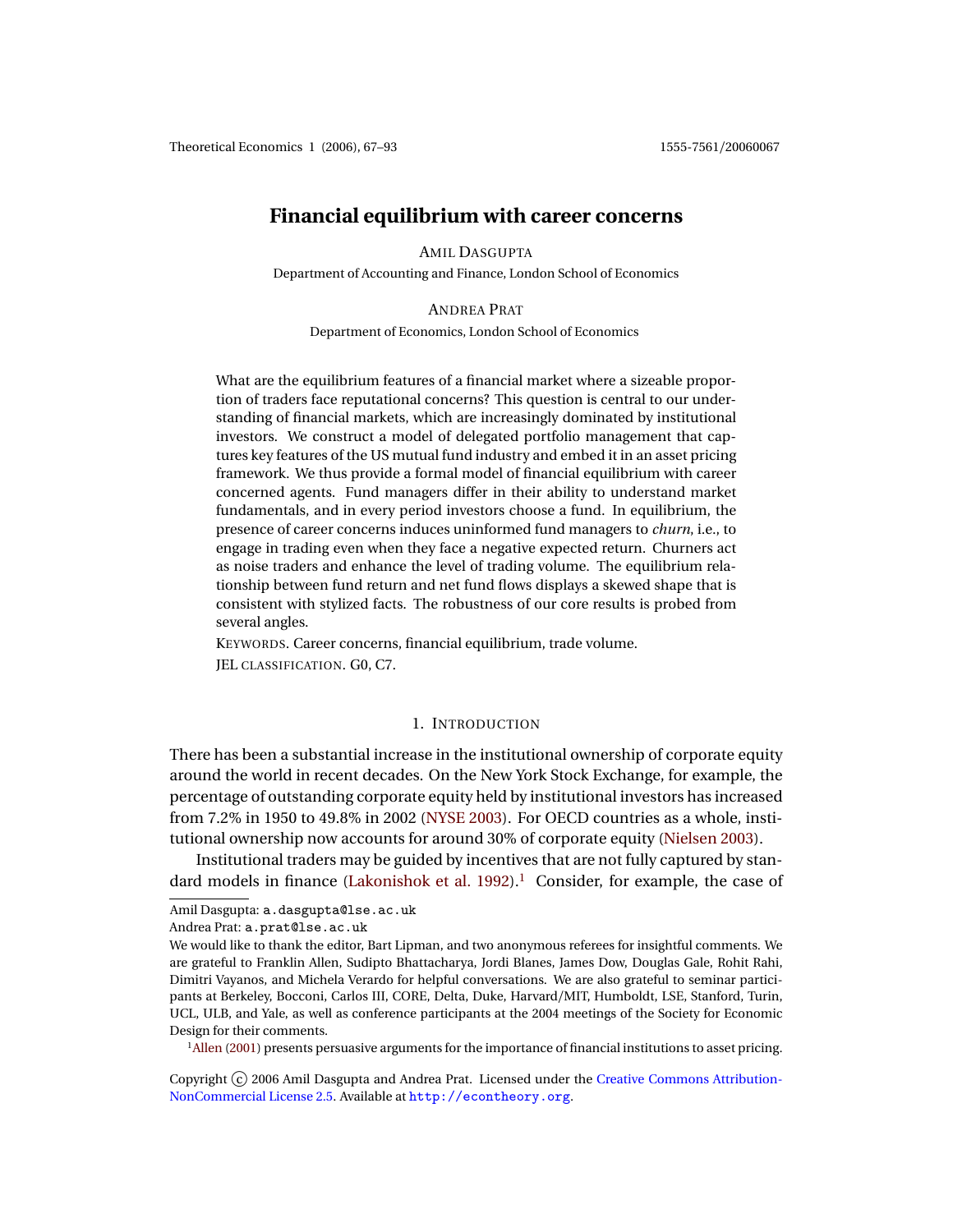# <span id="page-0-1"></span>**Financial equilibrium with career concerns**

AMIL DASGUPTA

Department of Accounting and Finance, London School of Economics

ANDREA PRAT

Department of Economics, London School of Economics

What are the equilibrium features of a financial market where a sizeable proportion of traders face reputational concerns? This question is central to our understanding of financial markets, which are increasingly dominated by institutional investors. We construct a model of delegated portfolio management that captures key features of the US mutual fund industry and embed it in an asset pricing framework. We thus provide a formal model of financial equilibrium with career concerned agents. Fund managers differ in their ability to understand market fundamentals, and in every period investors choose a fund. In equilibrium, the presence of career concerns induces uninformed fund managers to *churn*, i.e., to engage in trading even when they face a negative expected return. Churners act as noise traders and enhance the level of trading volume. The equilibrium relationship between fund return and net fund flows displays a skewed shape that is consistent with stylized facts. The robustness of our core results is probed from several angles.

KEYWORDS. Career concerns, financial equilibrium, trade volume. JEL CLASSIFICATION. G0, C7.

### 1. INTRODUCTION

There has been a substantial increase in the institutional ownership of corporate equity around the world in recent decades. On the New York Stock Exchange, for example, the percentage of outstanding corporate equity held by institutional investors has increased from 7.2% in 1950 to 49.8% in 2002 [\(NYSE](#page-26-0) [2003\)](#page-26-0). For OECD countries as a whole, institutional ownership now accounts for around 30% of corporate equity [\(Nielsen](#page-26-1) [2003\)](#page-26-1).

Institutional traders may be guided by incentives that are not fully captured by stan-dard models in finance [\(Lakonishok et al.](#page-26-2) [1992\)](#page-26-2).<sup>[1](#page-0-0)</sup> Consider, for example, the case of

<span id="page-0-0"></span><sup>1</sup>[Allen](#page-24-0) [\(2001\)](#page-24-0) presents persuasive arguments for the importance of financial institutions to asset pricing.

Copyright (c) 2006 Amil Dasgupta and Andrea Prat. Licensed under the [Creative Commons Attribution-](http://creativecommons.org/licenses/by-nc/2.5)[NonCommercial License 2.5.](http://creativecommons.org/licenses/by-nc/2.5) Available at <http://econtheory.org>.

Amil Dasgupta: a.dasgupta@lse.ac.uk

Andrea Prat: a.prat@lse.ac.uk

We would like to thank the editor, Bart Lipman, and two anonymous referees for insightful comments. We are grateful to Franklin Allen, Sudipto Bhattacharya, Jordi Blanes, James Dow, Douglas Gale, Rohit Rahi, Dimitri Vayanos, and Michela Verardo for helpful conversations. We are also grateful to seminar participants at Berkeley, Bocconi, Carlos III, CORE, Delta, Duke, Harvard/MIT, Humboldt, LSE, Stanford, Turin, UCL, ULB, and Yale, as well as conference participants at the 2004 meetings of the Society for Economic Design for their comments.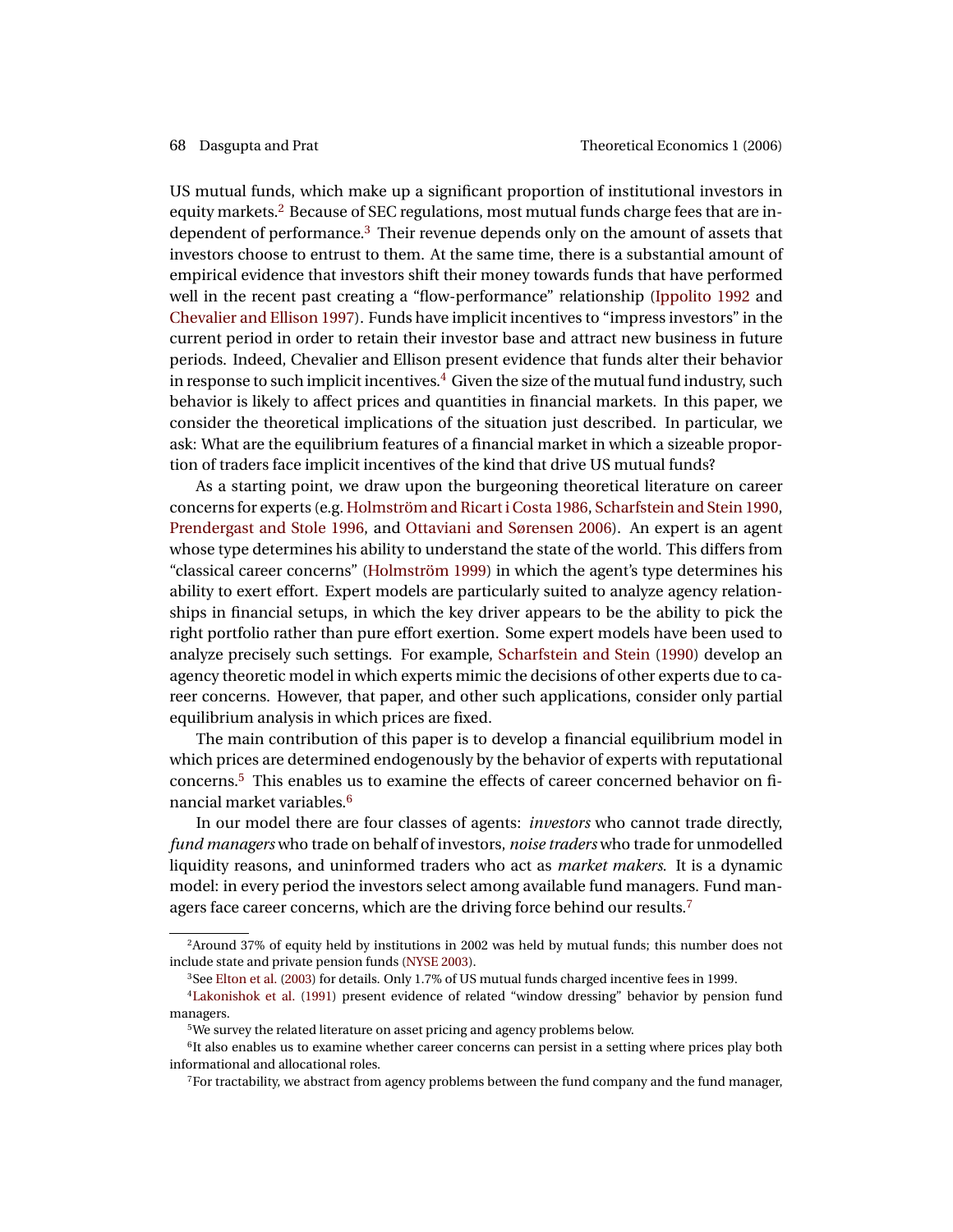<span id="page-1-6"></span>US mutual funds, which make up a significant proportion of institutional investors in equity markets.[2](#page-1-0) Because of SEC regulations, most mutual funds charge fees that are independent of performance.[3](#page-1-1) Their revenue depends only on the amount of assets that investors choose to entrust to them. At the same time, there is a substantial amount of empirical evidence that investors shift their money towards funds that have performed well in the recent past creating a "flow-performance" relationship [\(Ippolito](#page-25-0) [1992](#page-25-0) and [Chevalier and Ellison](#page-24-1) [1997\)](#page-24-1). Funds have implicit incentives to "impress investors" in the current period in order to retain their investor base and attract new business in future periods. Indeed, Chevalier and Ellison present evidence that funds alter their behavior in response to such implicit incentives.<sup>[4](#page-1-2)</sup> Given the size of the mutual fund industry, such behavior is likely to affect prices and quantities in financial markets. In this paper, we consider the theoretical implications of the situation just described. In particular, we ask: What are the equilibrium features of a financial market in which a sizeable proportion of traders face implicit incentives of the kind that drive US mutual funds?

As a starting point, we draw upon the burgeoning theoretical literature on career concerns for experts (e.g. [Holmström and Ricart i Costa](#page-25-1) [1986,](#page-25-1) [Scharfstein and Stein](#page-26-3) [1990,](#page-26-3) [Prendergast and Stole](#page-26-4) [1996,](#page-26-4) and [Ottaviani and Sørensen](#page-26-5) [2006\)](#page-26-5). An expert is an agent whose type determines his ability to understand the state of the world. This differs from "classical career concerns" [\(Holmström](#page-25-2) [1999\)](#page-25-2) in which the agent's type determines his ability to exert effort. Expert models are particularly suited to analyze agency relationships in financial setups, in which the key driver appears to be the ability to pick the right portfolio rather than pure effort exertion. Some expert models have been used to analyze precisely such settings. For example, [Scharfstein and Stein](#page-26-3) [\(1990\)](#page-26-3) develop an agency theoretic model in which experts mimic the decisions of other experts due to career concerns. However, that paper, and other such applications, consider only partial equilibrium analysis in which prices are fixed.

The main contribution of this paper is to develop a financial equilibrium model in which prices are determined endogenously by the behavior of experts with reputational concerns.[5](#page-1-3) This enables us to examine the effects of career concerned behavior on financial market variables.[6](#page-1-4)

In our model there are four classes of agents: *investors* who cannot trade directly, *fund managers* who trade on behalf of investors, *noise traders* who trade for unmodelled liquidity reasons, and uninformed traders who act as *market makers*. It is a dynamic model: in every period the investors select among available fund managers. Fund man-agers face career concerns, which are the driving force behind our results.<sup>[7](#page-1-5)</sup>

<span id="page-1-0"></span><sup>2</sup>Around 37% of equity held by institutions in 2002 was held by mutual funds; this number does not include state and private pension funds [\(NYSE](#page-26-0) [2003\)](#page-26-0).

<span id="page-1-2"></span><span id="page-1-1"></span><sup>3</sup>See [Elton et al.](#page-25-3) [\(2003\)](#page-25-3) for details. Only 1.7% of US mutual funds charged incentive fees in 1999.

<sup>4</sup>[Lakonishok et al.](#page-26-6) [\(1991\)](#page-26-6) present evidence of related "window dressing" behavior by pension fund managers.

<span id="page-1-4"></span><span id="page-1-3"></span><sup>5</sup>We survey the related literature on asset pricing and agency problems below.

<sup>&</sup>lt;sup>6</sup>It also enables us to examine whether career concerns can persist in a setting where prices play both informational and allocational roles.

<span id="page-1-5"></span><sup>7</sup>For tractability, we abstract from agency problems between the fund company and the fund manager,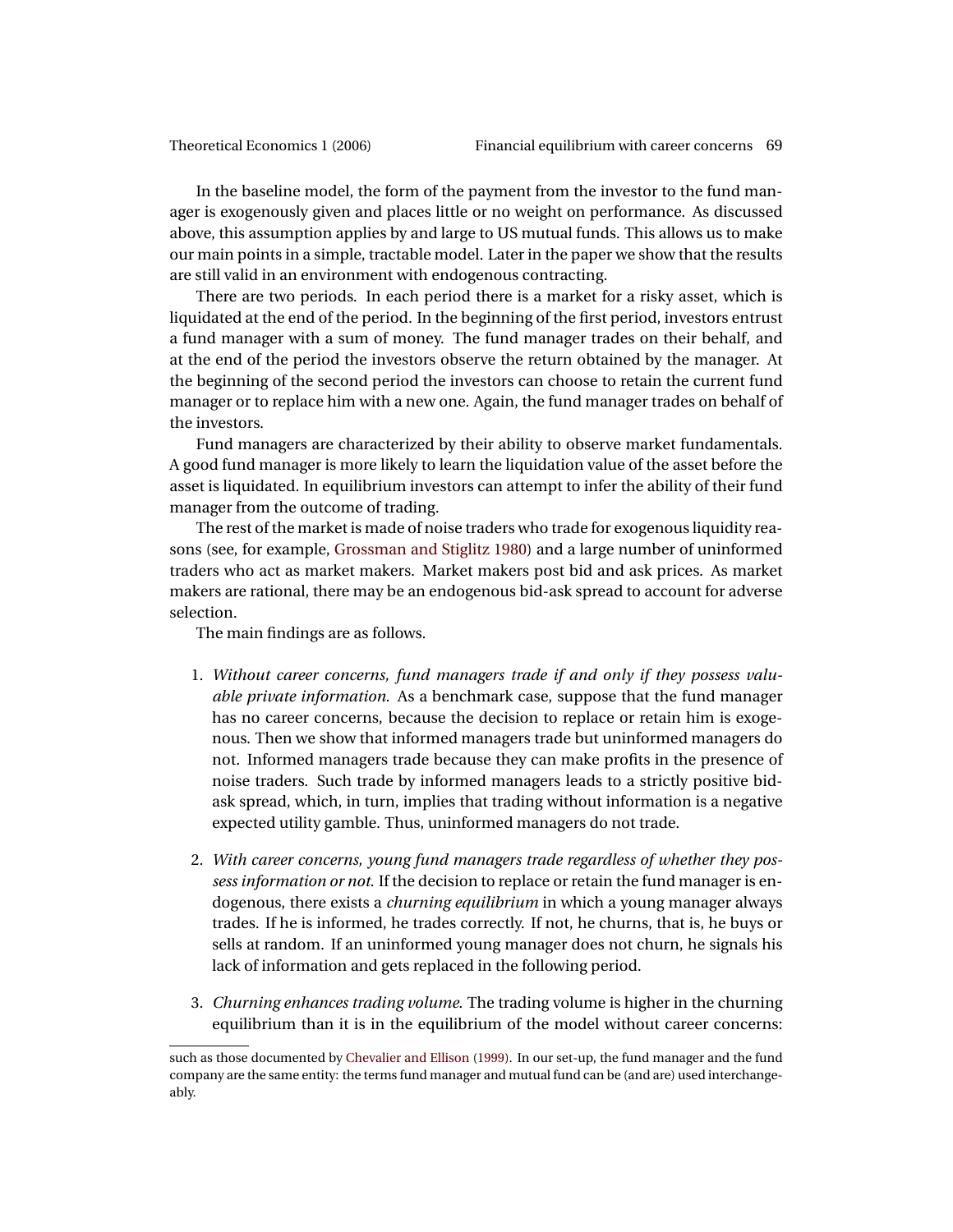<span id="page-2-0"></span>In the baseline model, the form of the payment from the investor to the fund manager is exogenously given and places little or no weight on performance. As discussed above, this assumption applies by and large to US mutual funds. This allows us to make our main points in a simple, tractable model. Later in the paper we show that the results are still valid in an environment with endogenous contracting.

There are two periods. In each period there is a market for a risky asset, which is liquidated at the end of the period. In the beginning of the first period, investors entrust a fund manager with a sum of money. The fund manager trades on their behalf, and at the end of the period the investors observe the return obtained by the manager. At the beginning of the second period the investors can choose to retain the current fund manager or to replace him with a new one. Again, the fund manager trades on behalf of the investors.

Fund managers are characterized by their ability to observe market fundamentals. A good fund manager is more likely to learn the liquidation value of the asset before the asset is liquidated. In equilibrium investors can attempt to infer the ability of their fund manager from the outcome of trading.

The rest of the market is made of noise traders who trade for exogenous liquidity reasons (see, for example, [Grossman and Stiglitz](#page-25-4) [1980\)](#page-25-4) and a large number of uninformed traders who act as market makers. Market makers post bid and ask prices. As market makers are rational, there may be an endogenous bid-ask spread to account for adverse selection.

The main findings are as follows.

- 1. *Without career concerns, fund managers trade if and only if they possess valuable private information*. As a benchmark case, suppose that the fund manager has no career concerns, because the decision to replace or retain him is exogenous. Then we show that informed managers trade but uninformed managers do not. Informed managers trade because they can make profits in the presence of noise traders. Such trade by informed managers leads to a strictly positive bidask spread, which, in turn, implies that trading without information is a negative expected utility gamble. Thus, uninformed managers do not trade.
- 2. *With career concerns, young fund managers trade regardless of whether they possess information or not*. If the decision to replace or retain the fund manager is endogenous, there exists a *churning equilibrium* in which a young manager always trades. If he is informed, he trades correctly. If not, he churns, that is, he buys or sells at random. If an uninformed young manager does not churn, he signals his lack of information and gets replaced in the following period.
- 3. *Churning enhances trading volume*. The trading volume is higher in the churning equilibrium than it is in the equilibrium of the model without career concerns:

such as those documented by [Chevalier and Ellison](#page-24-2) [\(1999\)](#page-24-2). In our set-up, the fund manager and the fund company are the same entity: the terms fund manager and mutual fund can be (and are) used interchangeably.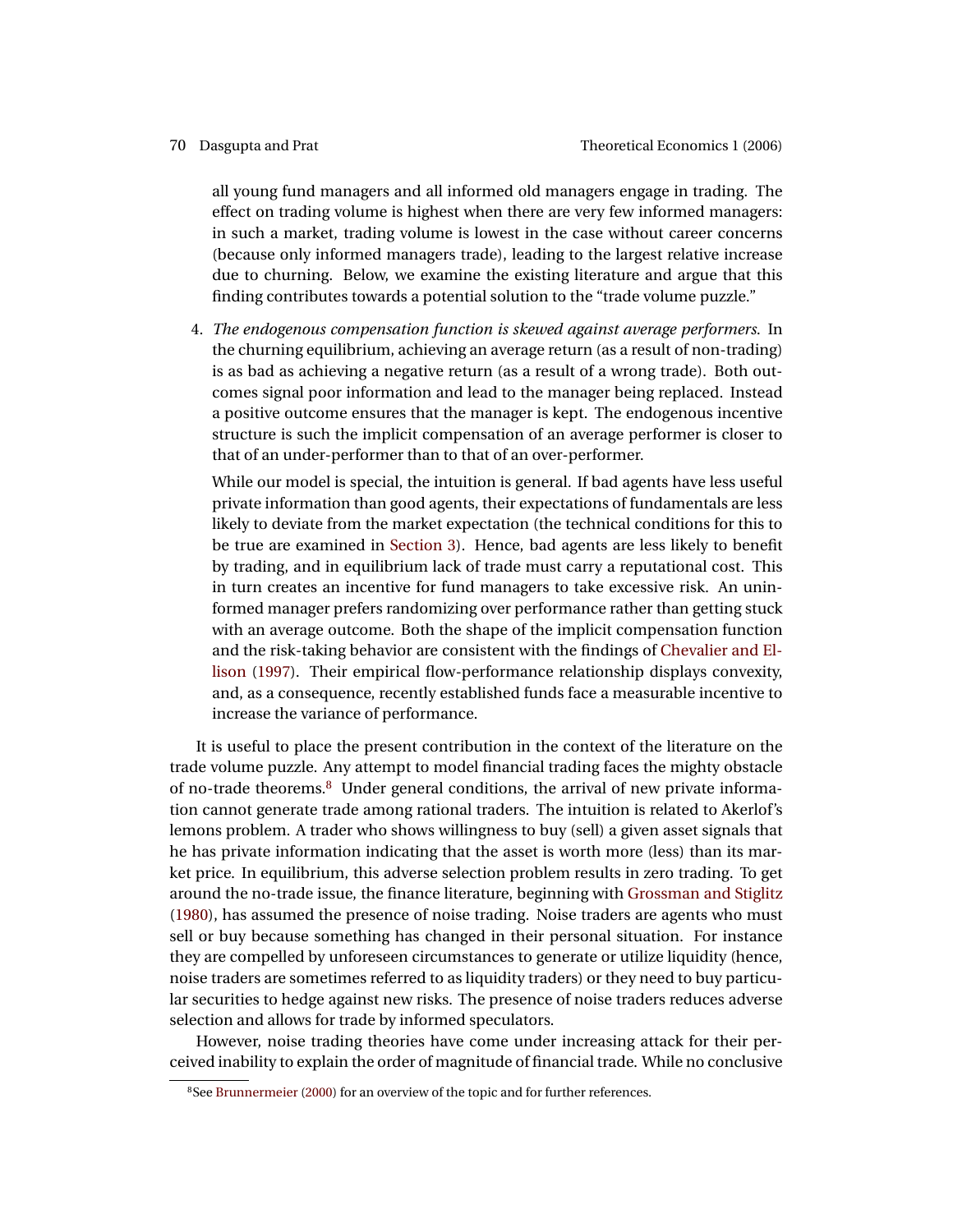<span id="page-3-1"></span>all young fund managers and all informed old managers engage in trading. The effect on trading volume is highest when there are very few informed managers: in such a market, trading volume is lowest in the case without career concerns (because only informed managers trade), leading to the largest relative increase due to churning. Below, we examine the existing literature and argue that this finding contributes towards a potential solution to the "trade volume puzzle."

4. *The endogenous compensation function is skewed against average performers*. In the churning equilibrium, achieving an average return (as a result of non-trading) is as bad as achieving a negative return (as a result of a wrong trade). Both outcomes signal poor information and lead to the manager being replaced. Instead a positive outcome ensures that the manager is kept. The endogenous incentive structure is such the implicit compensation of an average performer is closer to that of an under-performer than to that of an over-performer.

While our model is special, the intuition is general. If bad agents have less useful private information than good agents, their expectations of fundamentals are less likely to deviate from the market expectation (the technical conditions for this to be true are examined in [Section 3\)](#page-15-0). Hence, bad agents are less likely to benefit by trading, and in equilibrium lack of trade must carry a reputational cost. This in turn creates an incentive for fund managers to take excessive risk. An uninformed manager prefers randomizing over performance rather than getting stuck with an average outcome. Both the shape of the implicit compensation function and the risk-taking behavior are consistent with the findings of [Chevalier and El](#page-24-1)[lison](#page-24-1) [\(1997\)](#page-24-1). Their empirical flow-performance relationship displays convexity, and, as a consequence, recently established funds face a measurable incentive to increase the variance of performance.

It is useful to place the present contribution in the context of the literature on the trade volume puzzle. Any attempt to model financial trading faces the mighty obstacle of no-trade theorems.<sup>[8](#page-3-0)</sup> Under general conditions, the arrival of new private information cannot generate trade among rational traders. The intuition is related to Akerlof's lemons problem. A trader who shows willingness to buy (sell) a given asset signals that he has private information indicating that the asset is worth more (less) than its market price. In equilibrium, this adverse selection problem results in zero trading. To get around the no-trade issue, the finance literature, beginning with [Grossman and Stiglitz](#page-25-4) [\(1980\)](#page-25-4), has assumed the presence of noise trading. Noise traders are agents who must sell or buy because something has changed in their personal situation. For instance they are compelled by unforeseen circumstances to generate or utilize liquidity (hence, noise traders are sometimes referred to as liquidity traders) or they need to buy particular securities to hedge against new risks. The presence of noise traders reduces adverse selection and allows for trade by informed speculators.

However, noise trading theories have come under increasing attack for their perceived inability to explain the order of magnitude of financial trade. While no conclusive

<span id="page-3-0"></span><sup>&</sup>lt;sup>8</sup>See [Brunnermeier](#page-24-3) [\(2000\)](#page-24-3) for an overview of the topic and for further references.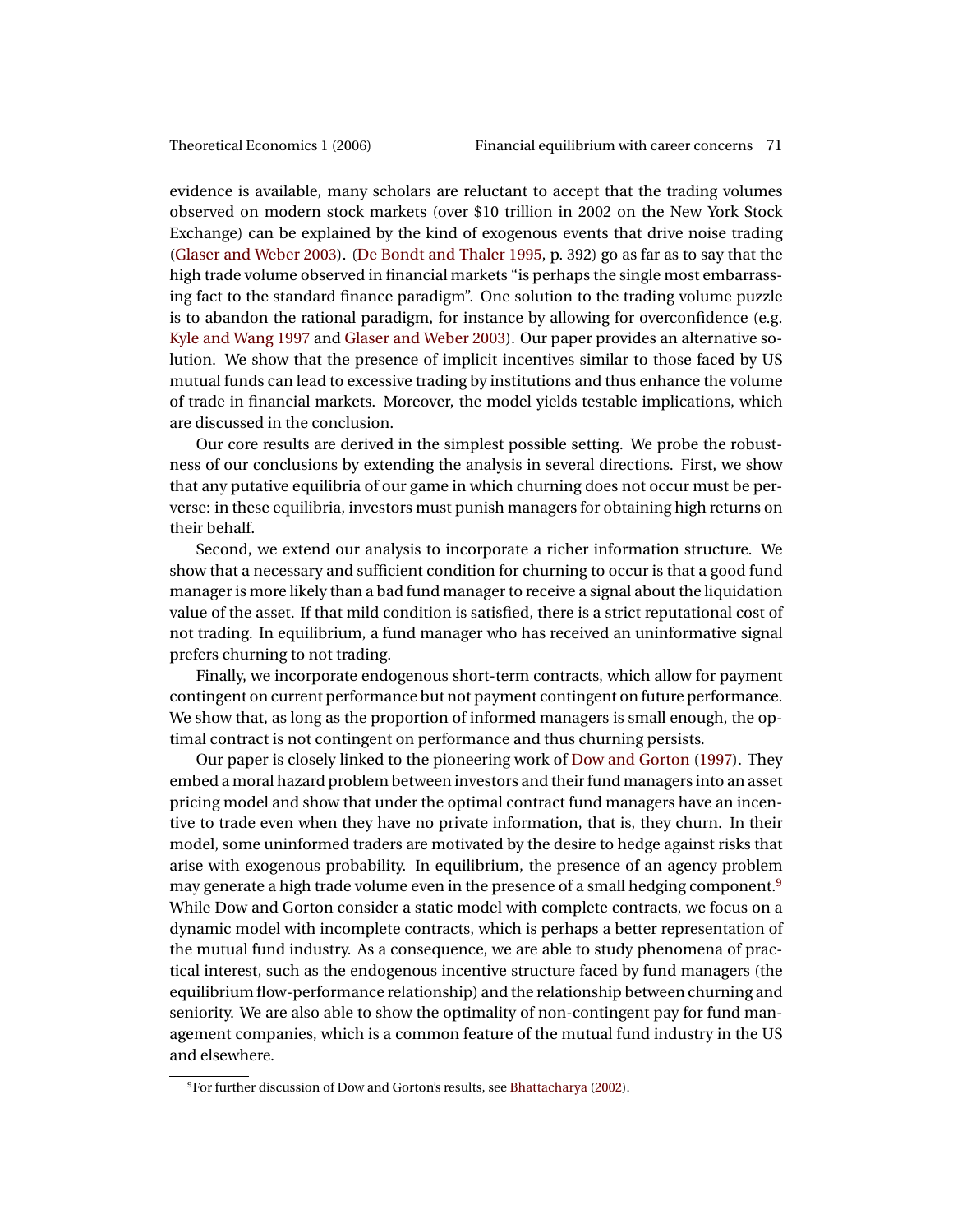<span id="page-4-1"></span>evidence is available, many scholars are reluctant to accept that the trading volumes observed on modern stock markets (over \$10 trillion in 2002 on the New York Stock Exchange) can be explained by the kind of exogenous events that drive noise trading [\(Glaser and Weber](#page-25-5) [2003\)](#page-25-5). [\(De Bondt and Thaler](#page-25-6) [1995,](#page-25-6) p. 392) go as far as to say that the high trade volume observed in financial markets "is perhaps the single most embarrassing fact to the standard finance paradigm". One solution to the trading volume puzzle is to abandon the rational paradigm, for instance by allowing for overconfidence (e.g. [Kyle and Wang](#page-25-7) [1997](#page-25-7) and [Glaser and Weber](#page-25-5) [2003\)](#page-25-5). Our paper provides an alternative solution. We show that the presence of implicit incentives similar to those faced by US mutual funds can lead to excessive trading by institutions and thus enhance the volume of trade in financial markets. Moreover, the model yields testable implications, which are discussed in the conclusion.

Our core results are derived in the simplest possible setting. We probe the robustness of our conclusions by extending the analysis in several directions. First, we show that any putative equilibria of our game in which churning does not occur must be perverse: in these equilibria, investors must punish managers for obtaining high returns on their behalf.

Second, we extend our analysis to incorporate a richer information structure. We show that a necessary and sufficient condition for churning to occur is that a good fund manager is more likely than a bad fund manager to receive a signal about the liquidation value of the asset. If that mild condition is satisfied, there is a strict reputational cost of not trading. In equilibrium, a fund manager who has received an uninformative signal prefers churning to not trading.

Finally, we incorporate endogenous short-term contracts, which allow for payment contingent on current performance but not payment contingent on future performance. We show that, as long as the proportion of informed managers is small enough, the optimal contract is not contingent on performance and thus churning persists.

Our paper is closely linked to the pioneering work of [Dow and Gorton](#page-25-8) [\(1997\)](#page-25-8). They embed a moral hazard problem between investors and their fund managers into an asset pricing model and show that under the optimal contract fund managers have an incentive to trade even when they have no private information, that is, they churn. In their model, some uninformed traders are motivated by the desire to hedge against risks that arise with exogenous probability. In equilibrium, the presence of an agency problem may generate a high trade volume even in the presence of a small hedging component.[9](#page-4-0) While Dow and Gorton consider a static model with complete contracts, we focus on a dynamic model with incomplete contracts, which is perhaps a better representation of the mutual fund industry. As a consequence, we are able to study phenomena of practical interest, such as the endogenous incentive structure faced by fund managers (the equilibrium flow-performance relationship) and the relationship between churning and seniority. We are also able to show the optimality of non-contingent pay for fund management companies, which is a common feature of the mutual fund industry in the US and elsewhere.

<span id="page-4-0"></span><sup>9</sup>For further discussion of Dow and Gorton's results, see [Bhattacharya](#page-24-4) [\(2002\)](#page-24-4).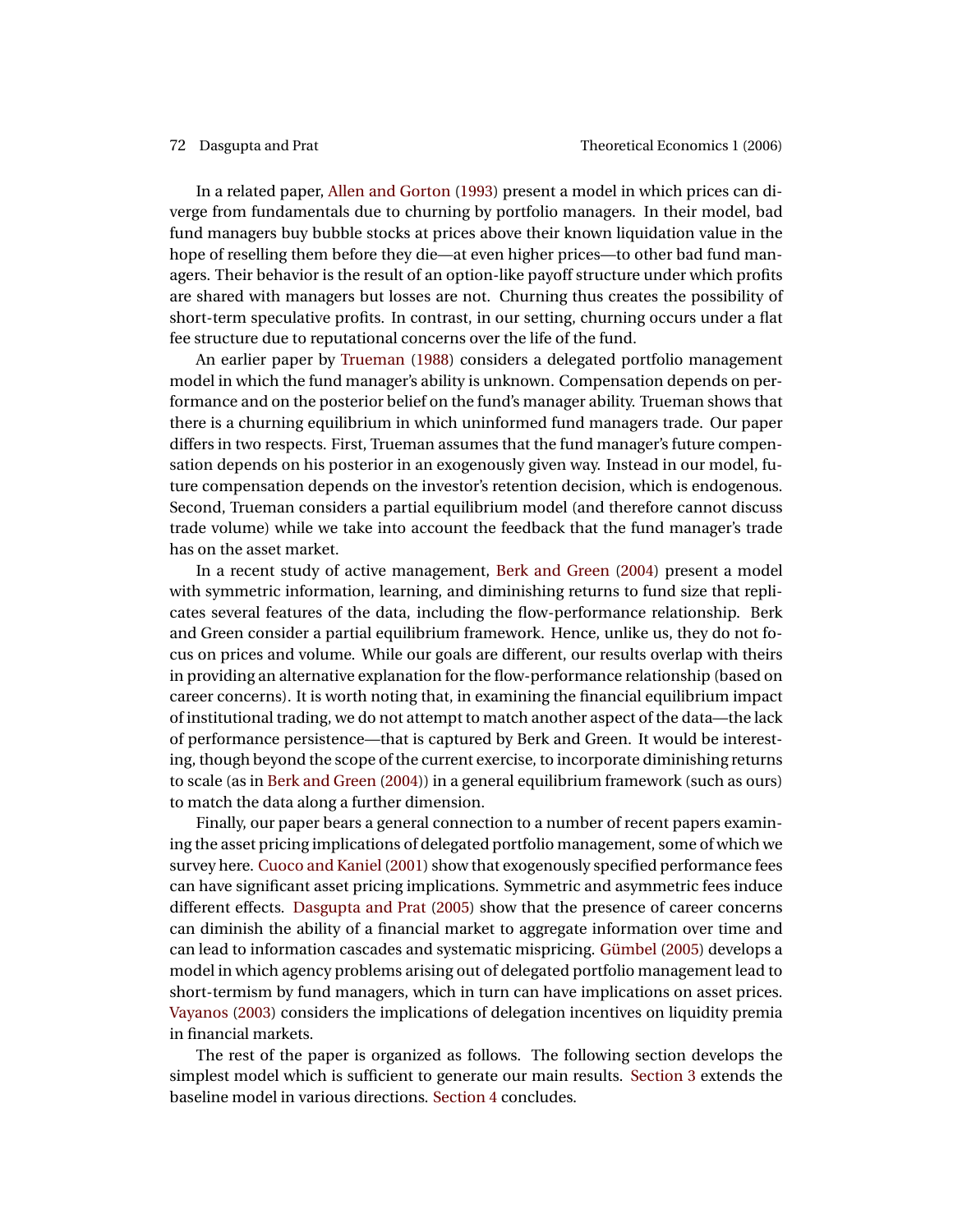<span id="page-5-0"></span>In a related paper, [Allen and Gorton](#page-24-5) [\(1993\)](#page-24-5) present a model in which prices can diverge from fundamentals due to churning by portfolio managers. In their model, bad fund managers buy bubble stocks at prices above their known liquidation value in the hope of reselling them before they die—at even higher prices—to other bad fund managers. Their behavior is the result of an option-like payoff structure under which profits are shared with managers but losses are not. Churning thus creates the possibility of short-term speculative profits. In contrast, in our setting, churning occurs under a flat fee structure due to reputational concerns over the life of the fund.

An earlier paper by [Trueman](#page-26-7) [\(1988\)](#page-26-7) considers a delegated portfolio management model in which the fund manager's ability is unknown. Compensation depends on performance and on the posterior belief on the fund's manager ability. Trueman shows that there is a churning equilibrium in which uninformed fund managers trade. Our paper differs in two respects. First, Trueman assumes that the fund manager's future compensation depends on his posterior in an exogenously given way. Instead in our model, future compensation depends on the investor's retention decision, which is endogenous. Second, Trueman considers a partial equilibrium model (and therefore cannot discuss trade volume) while we take into account the feedback that the fund manager's trade has on the asset market.

In a recent study of active management, [Berk and Green](#page-24-6) [\(2004\)](#page-24-6) present a model with symmetric information, learning, and diminishing returns to fund size that replicates several features of the data, including the flow-performance relationship. Berk and Green consider a partial equilibrium framework. Hence, unlike us, they do not focus on prices and volume. While our goals are different, our results overlap with theirs in providing an alternative explanation for the flow-performance relationship (based on career concerns). It is worth noting that, in examining the financial equilibrium impact of institutional trading, we do not attempt to match another aspect of the data—the lack of performance persistence—that is captured by Berk and Green. It would be interesting, though beyond the scope of the current exercise, to incorporate diminishing returns to scale (as in [Berk and Green](#page-24-6) [\(2004\)](#page-24-6)) in a general equilibrium framework (such as ours) to match the data along a further dimension.

Finally, our paper bears a general connection to a number of recent papers examining the asset pricing implications of delegated portfolio management, some of which we survey here. [Cuoco and Kaniel](#page-24-7) [\(2001\)](#page-24-7) show that exogenously specified performance fees can have significant asset pricing implications. Symmetric and asymmetric fees induce different effects. [Dasgupta and Prat](#page-25-9) [\(2005\)](#page-25-9) show that the presence of career concerns can diminish the ability of a financial market to aggregate information over time and can lead to information cascades and systematic mispricing. [Gümbel](#page-25-10) [\(2005\)](#page-25-10) develops a model in which agency problems arising out of delegated portfolio management lead to short-termism by fund managers, which in turn can have implications on asset prices. [Vayanos](#page-26-8) [\(2003\)](#page-26-8) considers the implications of delegation incentives on liquidity premia in financial markets.

The rest of the paper is organized as follows. The following section develops the simplest model which is sufficient to generate our main results. [Section 3](#page-15-0) extends the baseline model in various directions. [Section 4](#page-20-0) concludes.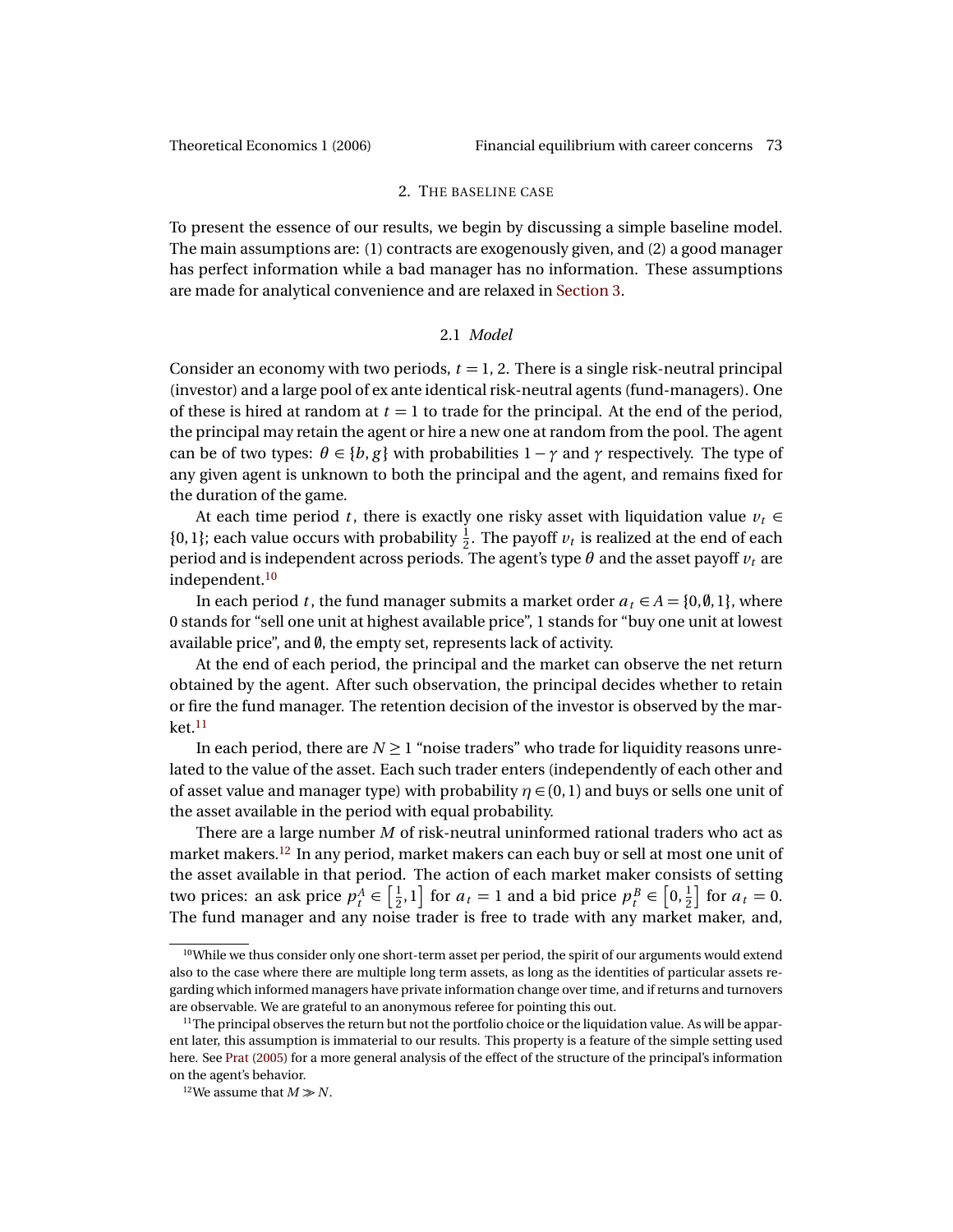### 2. THE BASELINE CASE

<span id="page-6-3"></span>To present the essence of our results, we begin by discussing a simple baseline model. The main assumptions are: (1) contracts are exogenously given, and (2) a good manager has perfect information while a bad manager has no information. These assumptions are made for analytical convenience and are relaxed in [Section 3.](#page-15-0)

### 2.1 *Model*

Consider an economy with two periods,  $t = 1, 2$ . There is a single risk-neutral principal (investor) and a large pool of ex ante identical risk-neutral agents (fund-managers). One of these is hired at random at *t* = 1 to trade for the principal. At the end of the period, the principal may retain the agent or hire a new one at random from the pool. The agent can be of two types:  $\theta \in \{b, g\}$  with probabilities  $1 - \gamma$  and  $\gamma$  respectively. The type of any given agent is unknown to both the principal and the agent, and remains fixed for the duration of the game.

At each time period *t*, there is exactly one risky asset with liquidation value  $v_t \in$ {0, 1}; each value occurs with probability  $\frac{1}{2}$ . The payoff  $v_t$  is realized at the end of each period and is independent across periods. The agent's type *θ* and the asset payoff *v<sup>t</sup>* are independent.[10](#page-6-0)

In each period *t*, the fund manager submits a market order  $a_t \in A = \{0, \emptyset, 1\}$ , where 0 stands for "sell one unit at highest available price", 1 stands for "buy one unit at lowest available price", and  $\emptyset$ , the empty set, represents lack of activity.

At the end of each period, the principal and the market can observe the net return obtained by the agent. After such observation, the principal decides whether to retain or fire the fund manager. The retention decision of the investor is observed by the mar- $ket.11$  $ket.11$ 

In each period, there are  $N \geq 1$  "noise traders" who trade for liquidity reasons unrelated to the value of the asset. Each such trader enters (independently of each other and of asset value and manager type) with probability  $\eta \in (0,1)$  and buys or sells one unit of the asset available in the period with equal probability.

There are a large number *M* of risk-neutral uninformed rational traders who act as market makers.[12](#page-6-2) In any period, market makers can each buy or sell at most one unit of the asset available in that period. The action of each market maker consists of setting two prices: an ask price  $p_t^A \in \left[\frac{1}{2}\right]$  $\left[\frac{1}{2}, 1\right]$  for  $a_t = 1$  and a bid price  $p_t^B \in \left[0, \frac{1}{2}\right]$  for  $a_t = 0$ . The fund manager and any noise trader is free to trade with any market maker, and,

<span id="page-6-0"></span><sup>&</sup>lt;sup>10</sup>While we thus consider only one short-term asset per period, the spirit of our arguments would extend also to the case where there are multiple long term assets, as long as the identities of particular assets regarding which informed managers have private information change over time, and if returns and turnovers are observable. We are grateful to an anonymous referee for pointing this out.

<span id="page-6-1"></span> $11$ The principal observes the return but not the portfolio choice or the liquidation value. As will be apparent later, this assumption is immaterial to our results. This property is a feature of the simple setting used here. See [Prat](#page-26-9) [\(2005\)](#page-26-9) for a more general analysis of the effect of the structure of the principal's information on the agent's behavior.

<span id="page-6-2"></span><sup>&</sup>lt;sup>12</sup>We assume that  $M \gg N$ .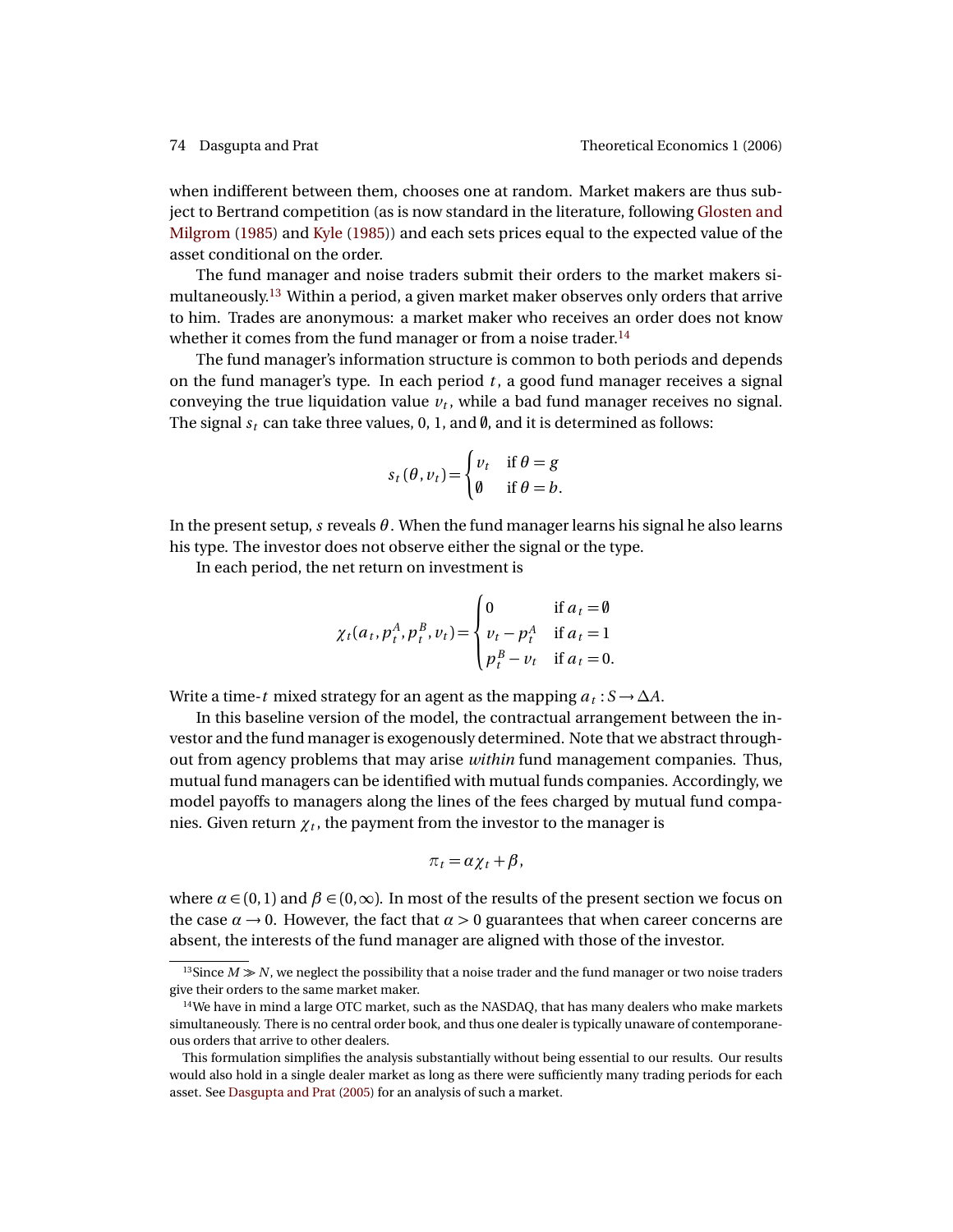<span id="page-7-2"></span>when indifferent between them, chooses one at random. Market makers are thus subject to Bertrand competition (as is now standard in the literature, following [Glosten and](#page-25-11) [Milgrom](#page-25-11) [\(1985\)](#page-25-11) and [Kyle](#page-25-12) [\(1985\)](#page-25-12)) and each sets prices equal to the expected value of the asset conditional on the order.

The fund manager and noise traders submit their orders to the market makers simultaneously.[13](#page-7-0) Within a period, a given market maker observes only orders that arrive to him. Trades are anonymous: a market maker who receives an order does not know whether it comes from the fund manager or from a noise trader.<sup>[14](#page-7-1)</sup>

The fund manager's information structure is common to both periods and depends on the fund manager's type. In each period *t* , a good fund manager receives a signal conveying the true liquidation value  $v_t$ , while a bad fund manager receives no signal. The signal  $s_t$  can take three values, 0, 1, and  $\emptyset$ , and it is determined as follows:

$$
s_t(\theta, v_t) = \begin{cases} v_t & \text{if } \theta = g \\ \emptyset & \text{if } \theta = b. \end{cases}
$$

In the present setup, *s* reveals  $\theta$ . When the fund manager learns his signal he also learns his type. The investor does not observe either the signal or the type.

In each period, the net return on investment is

$$
\chi_t(a_t, p_t^A, p_t^B, v_t) = \begin{cases} 0 & \text{if } a_t = \emptyset \\ v_t - p_t^A & \text{if } a_t = 1 \\ p_t^B - v_t & \text{if } a_t = 0. \end{cases}
$$

Write a time-*t* mixed strategy for an agent as the mapping  $a_t : S \to \Delta A$ .

In this baseline version of the model, the contractual arrangement between the investor and the fund manager is exogenously determined. Note that we abstract throughout from agency problems that may arise *within* fund management companies. Thus, mutual fund managers can be identified with mutual funds companies. Accordingly, we model payoffs to managers along the lines of the fees charged by mutual fund companies. Given return  $\chi_{\it t}$  , the payment from the investor to the manager is

$$
\pi_t = \alpha \chi_t + \beta,
$$

where  $\alpha \in (0,1)$  and  $\beta \in (0,\infty)$ . In most of the results of the present section we focus on the case  $\alpha \rightarrow 0$ . However, the fact that  $\alpha > 0$  guarantees that when career concerns are absent, the interests of the fund manager are aligned with those of the investor.

<span id="page-7-0"></span><sup>&</sup>lt;sup>13</sup>Since  $M \gg N$ , we neglect the possibility that a noise trader and the fund manager or two noise traders give their orders to the same market maker.

<span id="page-7-1"></span> $14$ We have in mind a large OTC market, such as the NASDAQ, that has many dealers who make markets simultaneously. There is no central order book, and thus one dealer is typically unaware of contemporaneous orders that arrive to other dealers.

This formulation simplifies the analysis substantially without being essential to our results. Our results would also hold in a single dealer market as long as there were sufficiently many trading periods for each asset. See [Dasgupta and Prat](#page-25-9) [\(2005\)](#page-25-9) for an analysis of such a market.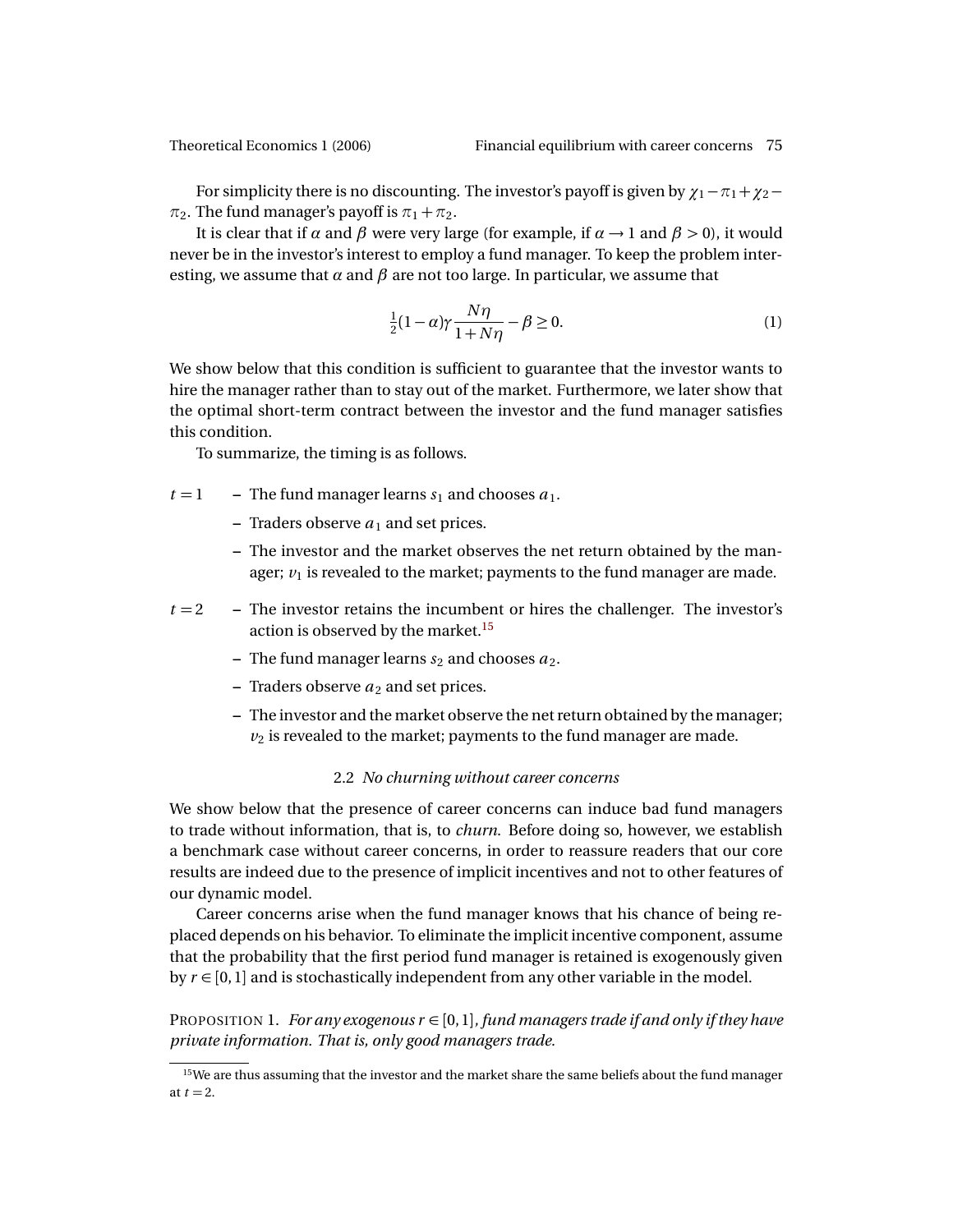For simplicity there is no discounting. The investor's payoff is given by  $\chi_1 - \pi_1 + \chi_2 \pi_2$ . The fund manager's payoff is  $\pi_1 + \pi_2$ .

It is clear that if  $\alpha$  and  $\beta$  were very large (for example, if  $\alpha \rightarrow 1$  and  $\beta > 0$ ), it would never be in the investor's interest to employ a fund manager. To keep the problem interesting, we assume that  $\alpha$  and  $\beta$  are not too large. In particular, we assume that

<span id="page-8-1"></span>
$$
\frac{1}{2}(1-\alpha)\gamma\frac{N\eta}{1+N\eta} - \beta \ge 0.
$$
 (1)

We show below that this condition is sufficient to guarantee that the investor wants to hire the manager rather than to stay out of the market. Furthermore, we later show that the optimal short-term contract between the investor and the fund manager satisfies this condition.

To summarize, the timing is as follows.

- $t = 1$  The fund manager learns  $s_1$  and chooses  $a_1$ .
	- **–** Traders observe  $a_1$  and set prices.
	- **–** The investor and the market observes the net return obtained by the manager;  $v_1$  is revealed to the market; payments to the fund manager are made.

 $t = 2$  – The investor retains the incumbent or hires the challenger. The investor's action is observed by the market.<sup>[15](#page-8-0)</sup>

- $-$  The fund manager learns  $s_2$  and chooses  $a_2$ .
- **–** Traders observe  $a_2$  and set prices.
- **–** The investor and the market observe the net return obtained by the manager;  $v_2$  is revealed to the market; payments to the fund manager are made.

### 2.2 *No churning without career concerns*

We show below that the presence of career concerns can induce bad fund managers to trade without information, that is, to *churn*. Before doing so, however, we establish a benchmark case without career concerns, in order to reassure readers that our core results are indeed due to the presence of implicit incentives and not to other features of our dynamic model.

Career concerns arise when the fund manager knows that his chance of being replaced depends on his behavior. To eliminate the implicit incentive component, assume that the probability that the first period fund manager is retained is exogenously given by  $r \in [0, 1]$  and is stochastically independent from any other variable in the model.

<span id="page-8-2"></span>PROPOSITION 1. *For any exogenous*  $r \in [0, 1]$ *, fund managers trade if and only if they have private information. That is, only good managers trade.*

<span id="page-8-0"></span><sup>&</sup>lt;sup>15</sup>We are thus assuming that the investor and the market share the same beliefs about the fund manager at  $t = 2$ .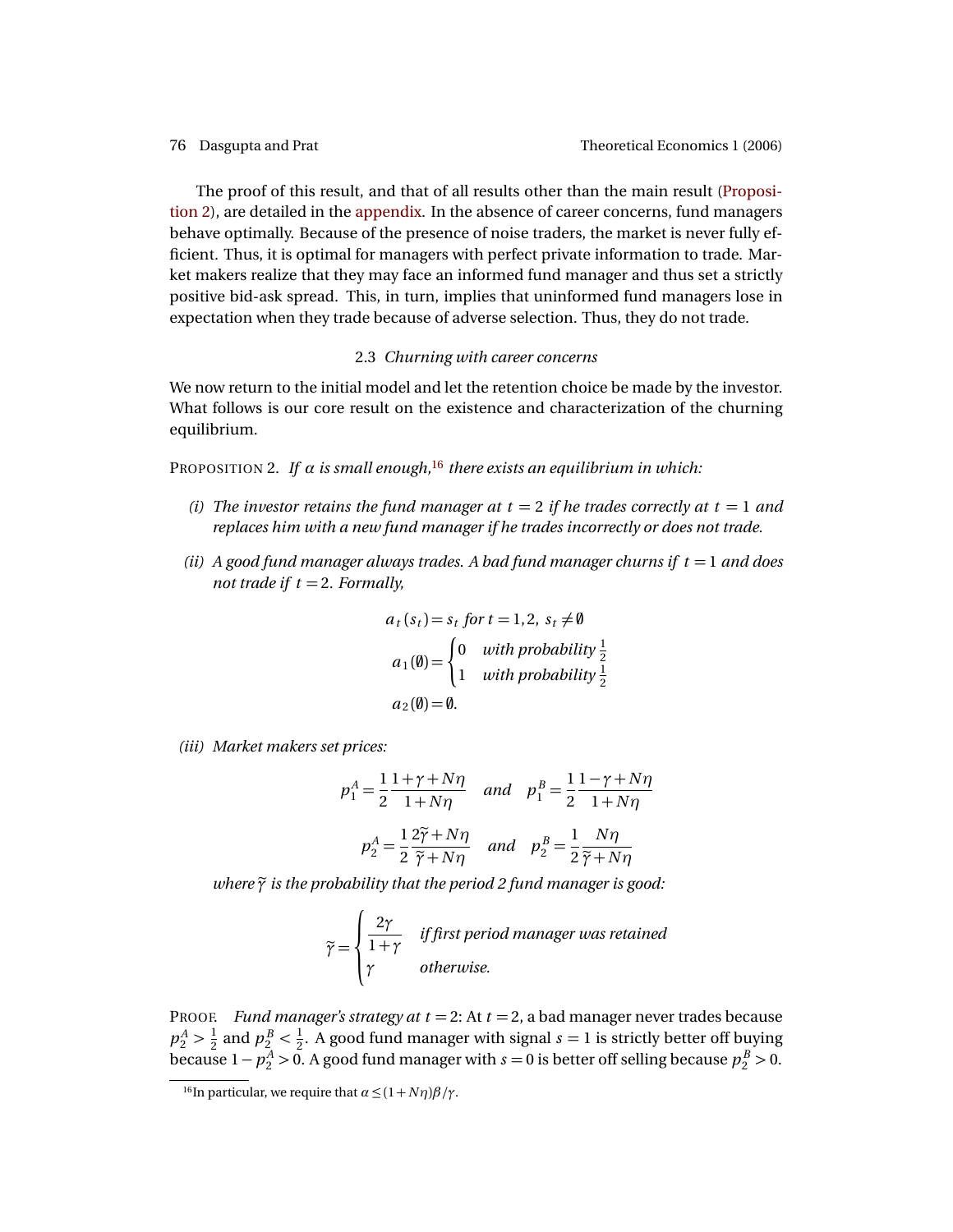The proof of this result, and that of all results other than the main result [\(Proposi](#page-9-0)[tion 2\)](#page-9-0), are detailed in the [appendix.](#page-20-1) In the absence of career concerns, fund managers behave optimally. Because of the presence of noise traders, the market is never fully efficient. Thus, it is optimal for managers with perfect private information to trade. Market makers realize that they may face an informed fund manager and thus set a strictly positive bid-ask spread. This, in turn, implies that uninformed fund managers lose in expectation when they trade because of adverse selection. Thus, they do not trade.

## 2.3 *Churning with career concerns*

We now return to the initial model and let the retention choice be made by the investor. What follows is our core result on the existence and characterization of the churning equilibrium.

<span id="page-9-0"></span>PROPOSITION 2. *If α is small enough,*[16](#page-9-1) *there exists an equilibrium in which:*

- *(i)* The investor retains the fund manager at  $t = 2$  if he trades correctly at  $t = 1$  and *replaces him with a new fund manager if he trades incorrectly or does not trade.*
- *(ii)*  $\vec{A}$  good fund manager always trades. A bad fund manager churns if  $t = 1$  and does *not trade if*  $t = 2$ *. Formally,*

$$
a_t(s_t) = s_t \text{ for } t = 1, 2, s_t \neq \emptyset
$$
  
\n
$$
a_1(\emptyset) = \begin{cases} 0 & \text{with probability } \frac{1}{2} \\ 1 & \text{with probability } \frac{1}{2} \end{cases}
$$
  
\n
$$
a_2(\emptyset) = \emptyset.
$$

*(iii) Market makers set prices:*

$$
p_1^A = \frac{1}{2} \frac{1 + \gamma + N\eta}{1 + N\eta} \quad \text{and} \quad p_1^B = \frac{1}{2} \frac{1 - \gamma + N\eta}{1 + N\eta}
$$
\n
$$
p_2^A = \frac{1}{2} \frac{2\tilde{\gamma} + N\eta}{\tilde{\gamma} + N\eta} \quad \text{and} \quad p_2^B = \frac{1}{2} \frac{N\eta}{\tilde{\gamma} + N\eta}
$$

*where* $\widetilde{\gamma}$  *is the probability that the period 2 fund manager is good:* 

$$
\widetilde{\gamma} = \begin{cases}\n\frac{2\gamma}{1+\gamma} & \text{if first period manager was retained} \\
\gamma & \text{otherwise.} \n\end{cases}
$$

PROOF. *Fund manager's strategy at*  $t = 2$ *: At*  $t = 2$ *, a bad manager never trades because*  $p_2^A > \frac{1}{2}$  $\frac{1}{2}$  and  $p_2^B < \frac{1}{2}$  $\frac{1}{2}$ . A good fund manager with signal  $s = 1$  is strictly better off buying because  $1 - p_2^A > 0$ . A good fund manager with  $s = 0$  is better off selling because  $p_2^B > 0$ .

<span id="page-9-1"></span><sup>&</sup>lt;sup>16</sup>In particular, we require that  $\alpha \leq (1 + N\eta)\beta/\gamma$ .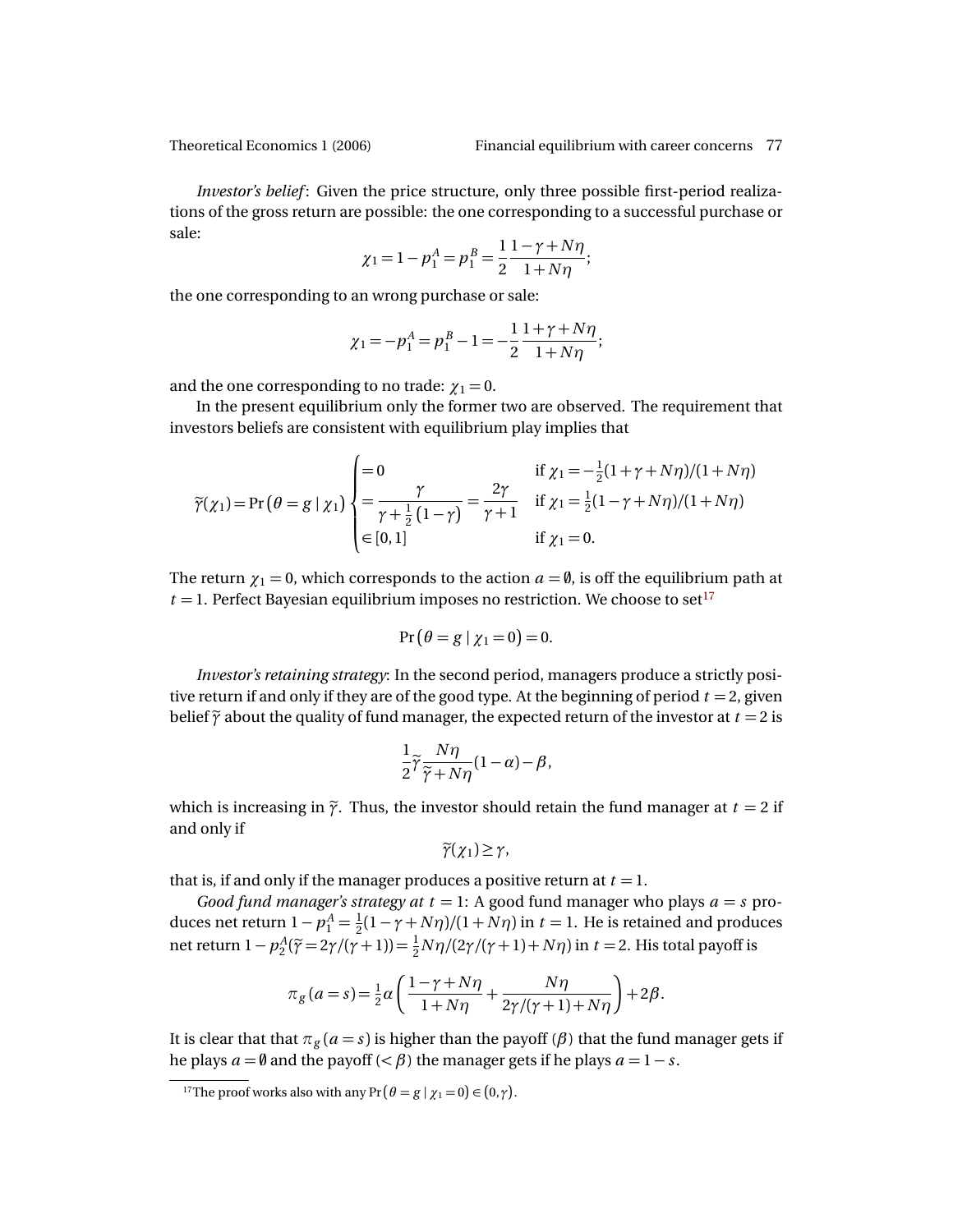*Investor's belief* : Given the price structure, only three possible first-period realizations of the gross return are possible: the one corresponding to a successful purchase or sale:

$$
\chi_1 = 1 - p_1^A = p_1^B = \frac{1}{2} \frac{1 - \gamma + N\eta}{1 + N\eta};
$$

the one corresponding to an wrong purchase or sale:

$$
\chi_1 = -p_1^A = p_1^B - 1 = -\frac{1}{2} \frac{1 + \gamma + N\eta}{1 + N\eta};
$$

and the one corresponding to no trade:  $\gamma_1 = 0$ .

In the present equilibrium only the former two are observed. The requirement that investors beliefs are consistent with equilibrium play implies that

$$
\widetilde{\gamma}(\chi_1) = \Pr\left(\theta = g \mid \chi_1\right) \begin{cases}\n= 0 & \text{if } \chi_1 = -\frac{1}{2}(1 + \gamma + N\eta)/(1 + N\eta) \\
= \frac{\gamma}{\gamma + \frac{1}{2}(1 - \gamma)} = \frac{2\gamma}{\gamma + 1} & \text{if } \chi_1 = \frac{1}{2}(1 - \gamma + N\eta)/(1 + N\eta) \\
\in [0, 1] & \text{if } \chi_1 = 0.\n\end{cases}
$$

The return  $\chi_1 = 0$ , which corresponds to the action  $a = \emptyset$ , is off the equilibrium path at  $t = 1$ . Perfect Bayesian equilibrium imposes no restriction. We choose to set<sup>[17](#page-10-0)</sup>

$$
Pr(\theta = g \mid \chi_1 = 0) = 0.
$$

*Investor's retaining strategy*: In the second period, managers produce a strictly positive return if and only if they are of the good type. At the beginning of period  $t = 2$ , given belief  $\tilde{\gamma}$  about the quality of fund manager, the expected return of the investor at  $t = 2$  is

$$
\frac{1}{2}\widetilde{\gamma}\frac{N\eta}{\widetilde{\gamma}+N\eta}(1-\alpha)-\beta,
$$

which is increasing in  $\tilde{\gamma}$ . Thus, the investor should retain the fund manager at  $t = 2$  if and only if

$$
\widetilde{\gamma}(\chi_1)\geq \gamma,
$$

that is, if and only if the manager produces a positive return at  $t = 1$ .

*Good fund manager's strategy at t* = 1: A good fund manager who plays  $a = s$  produces net return  $1 - p_1^A = \frac{1}{2}$  $\frac{1}{2}(1 - \gamma + N\eta)/(1 + N\eta)$  in  $t = 1$ . He is retained and produces net return  $1 - p_2^A(\tilde{\gamma} = 2\gamma/(\gamma + 1)) = \frac{1}{2}N\eta/(2\gamma/(\gamma + 1) + N\eta)$  in  $t = 2$ . His total payoff is

$$
\pi_g(a=s) = \frac{1}{2}\alpha \left( \frac{1-\gamma + N\eta}{1+N\eta} + \frac{N\eta}{2\gamma/(\gamma+1)+N\eta} \right) + 2\beta.
$$

It is clear that that  $\pi_g$  ( $a = s$ ) is higher than the payoff ( $\beta$ ) that the fund manager gets if he plays  $a = \emptyset$  and the payoff ( $\lt \beta$ ) the manager gets if he plays  $a = 1 - s$ .

<span id="page-10-0"></span><sup>&</sup>lt;sup>17</sup>The proof works also with any Pr  $(\theta = g | \chi_1 = 0) \in (0, \gamma)$ .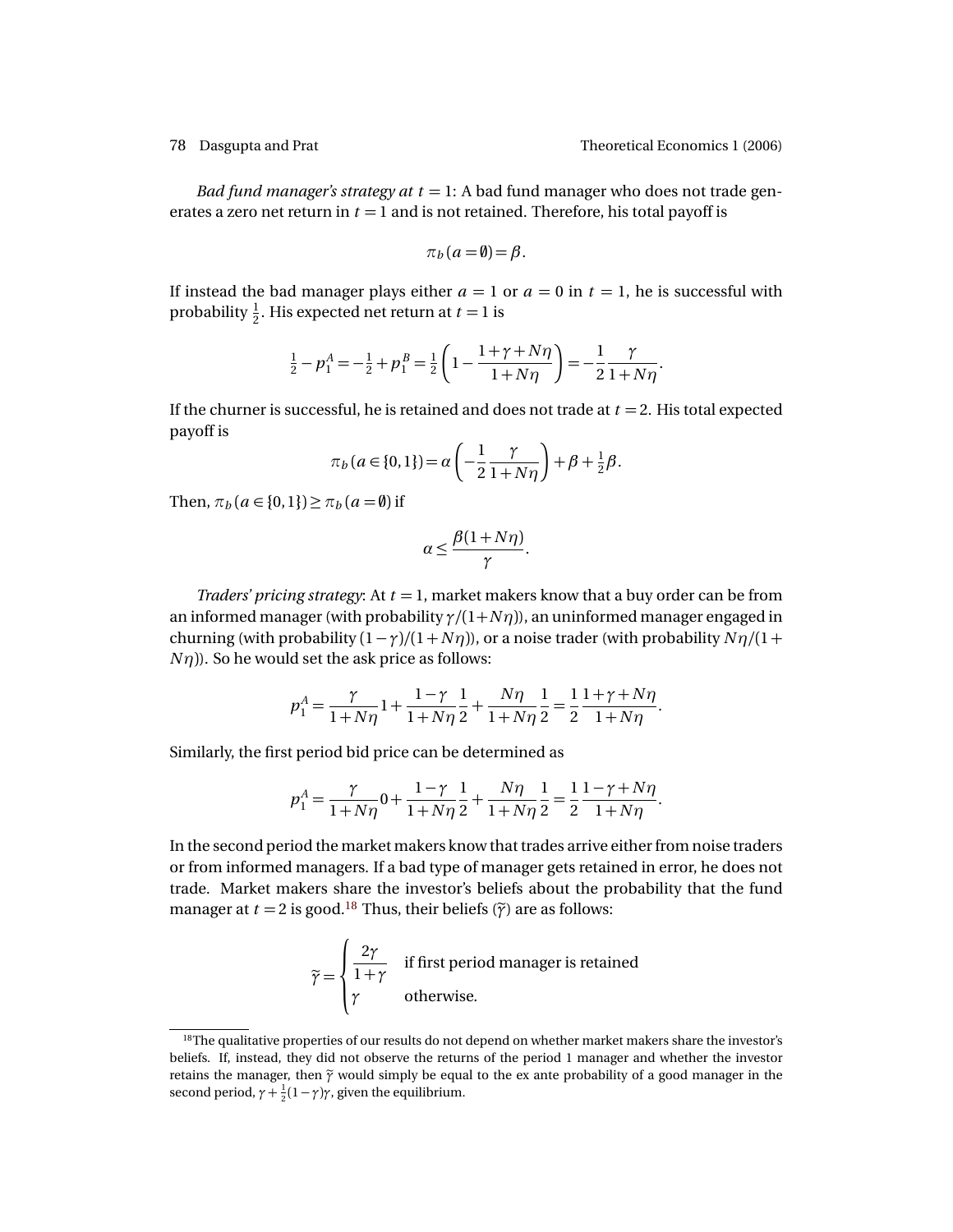*Bad fund manager's strategy at t* = 1: A bad fund manager who does not trade generates a zero net return in  $t = 1$  and is not retained. Therefore, his total payoff is

$$
\pi_b(a=\emptyset) = \beta.
$$

If instead the bad manager plays either  $a = 1$  or  $a = 0$  in  $t = 1$ , he is successful with probability  $\frac{1}{2}$ . His expected net return at  $t = 1$  is

$$
\frac{1}{2} - p_1^A = -\frac{1}{2} + p_1^B = \frac{1}{2} \left( 1 - \frac{1 + \gamma + N\eta}{1 + N\eta} \right) = -\frac{1}{2} \frac{\gamma}{1 + N\eta}.
$$

If the churner is successful, he is retained and does not trade at  $t = 2$ . His total expected payoff is

$$
\pi_b(a \in \{0, 1\}) = \alpha \left( -\frac{1}{2} \frac{\gamma}{1 + N\eta} \right) + \beta + \frac{1}{2} \beta.
$$

Then,  $\pi_b$  ( $a \in \{0, 1\}$ )  $\geq \pi_b$  ( $a = \emptyset$ ) if

$$
\alpha \leq \frac{\beta(1+N\eta)}{\gamma}.
$$

*Traders' pricing strategy*: At *t* = 1, market makers know that a buy order can be from an informed manager (with probability  $\gamma/(1+N\eta)$ ), an uninformed manager engaged in churning (with probability  $(1 - \gamma)/(1 + N\eta)$ ), or a noise trader (with probability  $N\eta/(1 +$  $N\eta$ )). So he would set the ask price as follows:

$$
p_1^A = \frac{\gamma}{1 + N\eta} \cdot 1 + \frac{1 - \gamma}{1 + N\eta} \cdot \frac{1}{2} + \frac{N\eta}{1 + N\eta} \cdot \frac{1}{2} = \frac{1}{2} \frac{1 + \gamma + N\eta}{1 + N\eta}.
$$

Similarly, the first period bid price can be determined as

$$
p_1^A = \frac{\gamma}{1 + N\eta} 0 + \frac{1 - \gamma}{1 + N\eta} \frac{1}{2} + \frac{N\eta}{1 + N\eta} \frac{1}{2} = \frac{1}{2} \frac{1 - \gamma + N\eta}{1 + N\eta}.
$$

In the second period the market makers know that trades arrive either from noise traders or from informed managers. If a bad type of manager gets retained in error, he does not trade. Market makers share the investor's beliefs about the probability that the fund manager at  $t = 2$  is good.<sup>[18](#page-11-0)</sup> Thus, their beliefs ( $\tilde{\gamma}$ ) are as follows:

$$
\widetilde{\gamma} = \begin{cases}\n\frac{2\gamma}{1+\gamma} & \text{if first period manager is retained} \\
\gamma & \text{otherwise.} \n\end{cases}
$$

<span id="page-11-0"></span><sup>&</sup>lt;sup>18</sup>The qualitative properties of our results do not depend on whether market makers share the investor's beliefs. If, instead, they did not observe the returns of the period 1 manager and whether the investor retains the manager, then  $\tilde{\gamma}$  would simply be equal to the ex ante probability of a good manager in the second period,  $\gamma + \frac{1}{2}(1 - \gamma)\gamma$ , given the equilibrium.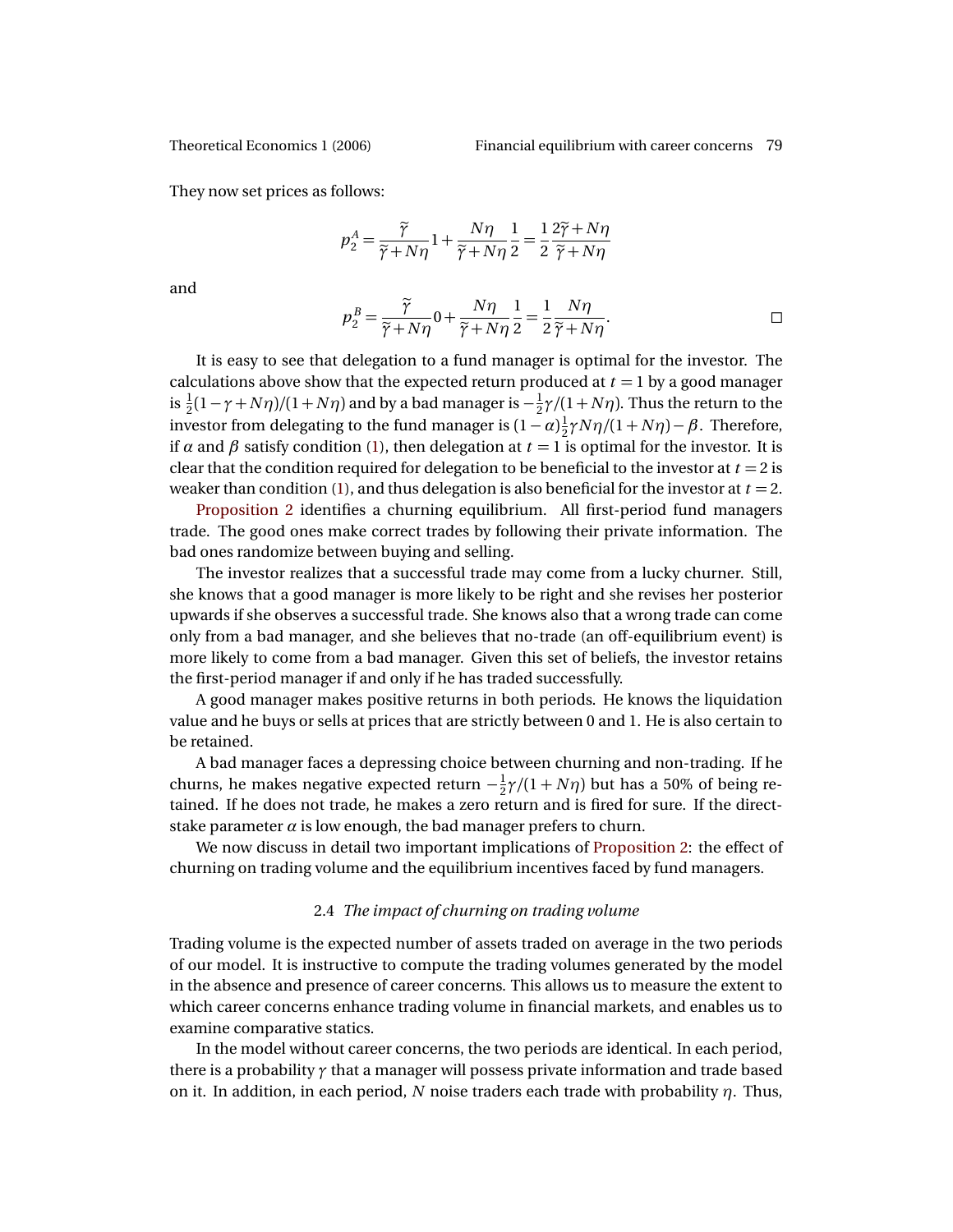They now set prices as follows:

$$
p_2^A = \frac{\widetilde{\gamma}}{\widetilde{\gamma} + N\eta} \cdot 1 + \frac{N\eta}{\widetilde{\gamma} + N\eta} \cdot \frac{1}{2} = \frac{1}{2} \frac{2\widetilde{\gamma} + N\eta}{\widetilde{\gamma} + N\eta}
$$

and

$$
p_2^B = \frac{\widetilde{\gamma}}{\widetilde{\gamma} + N\eta} 0 + \frac{N\eta}{\widetilde{\gamma} + N\eta} \frac{1}{2} = \frac{1}{2} \frac{N\eta}{\widetilde{\gamma} + N\eta}.
$$

It is easy to see that delegation to a fund manager is optimal for the investor. The calculations above show that the expected return produced at  $t = 1$  by a good manager is  $\frac{1}{2}(1 - \gamma + N\eta)/(1 + N\eta)$  and by a bad manager is  $-\frac{1}{2}$  $\frac{1}{2}\gamma/(1+N\eta)$ . Thus the return to the investor from delegating to the fund manager is  $(1-\alpha)\frac{1}{2}$  $\frac{1}{2}\gamma N\eta/(1+N\eta)-\beta$ . Therefore, if  $\alpha$  and  $\beta$  satisfy condition [\(1\)](#page-8-1), then delegation at  $t = 1$  is optimal for the investor. It is clear that the condition required for delegation to be beneficial to the investor at *t* = 2 is weaker than condition [\(1\)](#page-8-1), and thus delegation is also beneficial for the investor at  $t = 2$ .

[Proposition 2](#page-9-0) identifies a churning equilibrium. All first-period fund managers trade. The good ones make correct trades by following their private information. The bad ones randomize between buying and selling.

The investor realizes that a successful trade may come from a lucky churner. Still, she knows that a good manager is more likely to be right and she revises her posterior upwards if she observes a successful trade. She knows also that a wrong trade can come only from a bad manager, and she believes that no-trade (an off-equilibrium event) is more likely to come from a bad manager. Given this set of beliefs, the investor retains the first-period manager if and only if he has traded successfully.

A good manager makes positive returns in both periods. He knows the liquidation value and he buys or sells at prices that are strictly between 0 and 1. He is also certain to be retained.

A bad manager faces a depressing choice between churning and non-trading. If he churns, he makes negative expected return  $-\frac{1}{2}$  $\frac{1}{2} \gamma/(1 + N \eta)$  but has a 50% of being retained. If he does not trade, he makes a zero return and is fired for sure. If the directstake parameter  $\alpha$  is low enough, the bad manager prefers to churn.

We now discuss in detail two important implications of [Proposition 2:](#page-9-0) the effect of churning on trading volume and the equilibrium incentives faced by fund managers.

### 2.4 *The impact of churning on trading volume*

<span id="page-12-0"></span>Trading volume is the expected number of assets traded on average in the two periods of our model. It is instructive to compute the trading volumes generated by the model in the absence and presence of career concerns. This allows us to measure the extent to which career concerns enhance trading volume in financial markets, and enables us to examine comparative statics.

In the model without career concerns, the two periods are identical. In each period, there is a probability *γ* that a manager will possess private information and trade based on it. In addition, in each period, *N* noise traders each trade with probability *η*. Thus,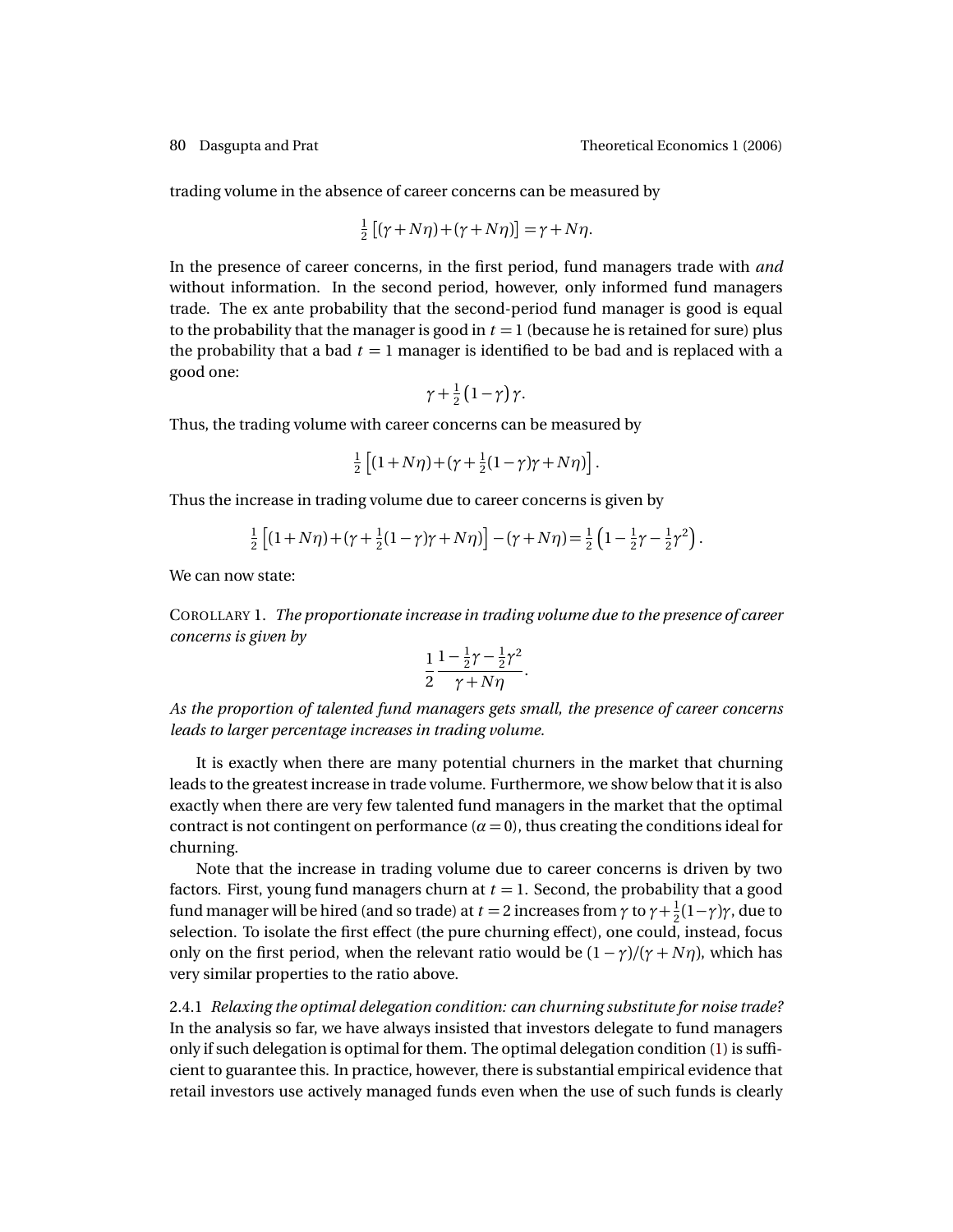trading volume in the absence of career concerns can be measured by

$$
\frac{1}{2} [(\gamma + N\eta) + (\gamma + N\eta)] = \gamma + N\eta.
$$

In the presence of career concerns, in the first period, fund managers trade with *and* without information. In the second period, however, only informed fund managers trade. The ex ante probability that the second-period fund manager is good is equal to the probability that the manager is good in  $t = 1$  (because he is retained for sure) plus the probability that a bad  $t = 1$  manager is identified to be bad and is replaced with a good one:

$$
\gamma+\tfrac{1}{2}\left(1-\gamma\right)\gamma.
$$

Thus, the trading volume with career concerns can be measured by

$$
\frac{1}{2}\left[ (1+N\eta) + (\gamma + \frac{1}{2}(1-\gamma)\gamma + N\eta) \right].
$$

Thus the increase in trading volume due to career concerns is given by

$$
\frac{1}{2} \left[ (1 + N\eta) + (\gamma + \frac{1}{2}(1 - \gamma)\gamma + N\eta) \right] - (\gamma + N\eta) = \frac{1}{2} \left( 1 - \frac{1}{2}\gamma - \frac{1}{2}\gamma^2 \right).
$$

We can now state:

COROLLARY 1. *The proportionate increase in trading volume due to the presence of career concerns is given by*

$$
\frac{1}{2}\frac{1-\frac{1}{2}\gamma-\frac{1}{2}\gamma^2}{\gamma+N\eta}.
$$

*As the proportion of talented fund managers gets small, the presence of career concerns leads to larger percentage increases in trading volume.*

It is exactly when there are many potential churners in the market that churning leads to the greatest increase in trade volume. Furthermore, we show below that it is also exactly when there are very few talented fund managers in the market that the optimal contract is not contingent on performance  $(a = 0)$ , thus creating the conditions ideal for churning.

Note that the increase in trading volume due to career concerns is driven by two factors. First, young fund managers churn at  $t = 1$ . Second, the probability that a good fund manager will be hired (and so trade) at  $t$  = 2 increases from  $\gamma$  to  $\gamma$  +  $\frac{1}{2}$  $\frac{1}{2}(1-\gamma)\gamma$ , due to selection. To isolate the first effect (the pure churning effect), one could, instead, focus only on the first period, when the relevant ratio would be  $(1 - \gamma)/(\gamma + N\eta)$ , which has very similar properties to the ratio above.

2.4.1 *Relaxing the optimal delegation condition: can churning substitute for noise trade?* In the analysis so far, we have always insisted that investors delegate to fund managers only if such delegation is optimal for them. The optimal delegation condition [\(1\)](#page-8-1) is sufficient to guarantee this. In practice, however, there is substantial empirical evidence that retail investors use actively managed funds even when the use of such funds is clearly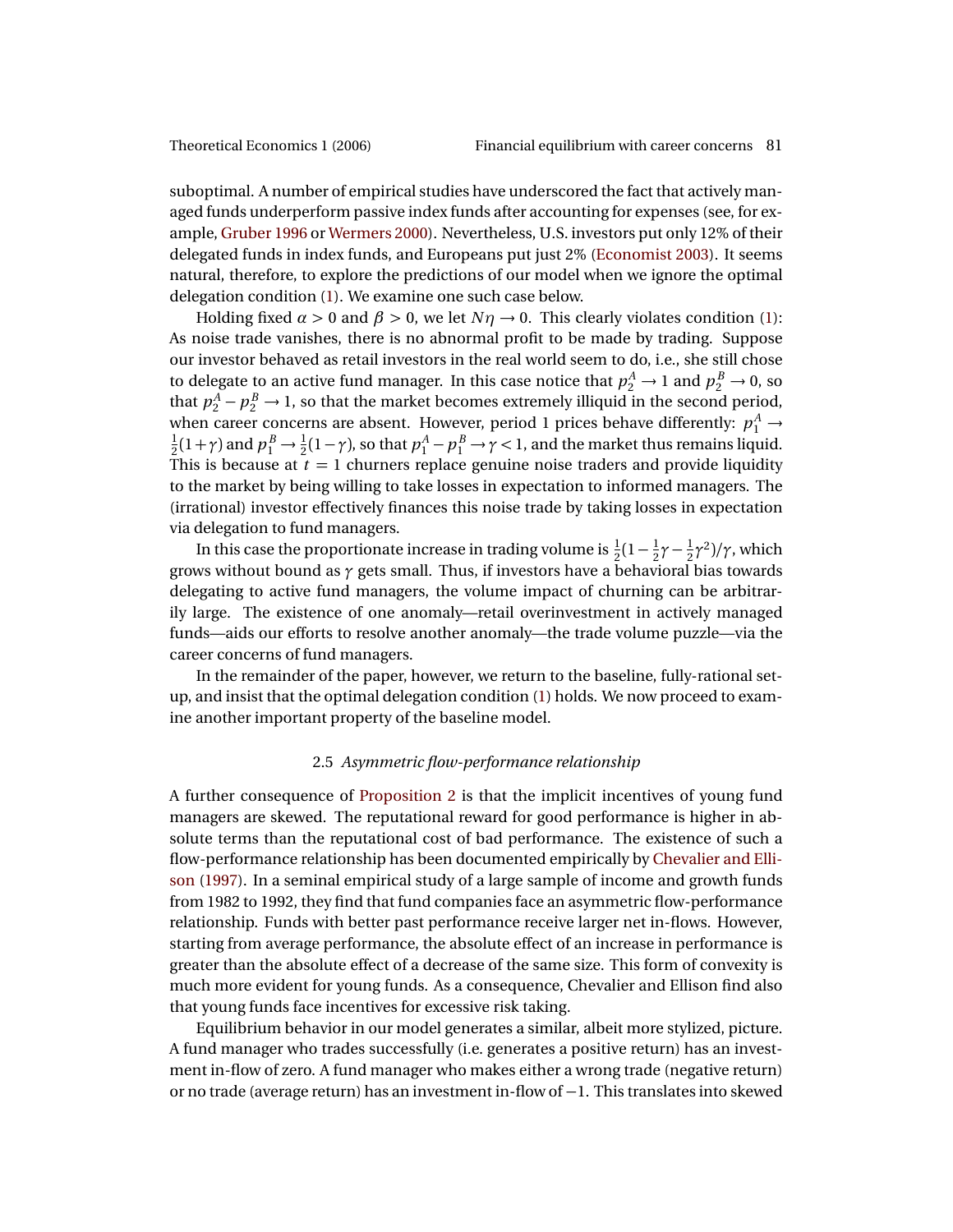<span id="page-14-0"></span>suboptimal. A number of empirical studies have underscored the fact that actively managed funds underperform passive index funds after accounting for expenses (see, for example, [Gruber](#page-25-13) [1996](#page-25-13) or [Wermers](#page-26-10) [2000\)](#page-26-10). Nevertheless, U.S. investors put only 12% of their delegated funds in index funds, and Europeans put just 2% [\(Economist](#page-25-14) [2003\)](#page-25-14). It seems natural, therefore, to explore the predictions of our model when we ignore the optimal delegation condition [\(1\)](#page-8-1). We examine one such case below.

Holding fixed  $\alpha > 0$  and  $\beta > 0$ , we let  $N\eta \rightarrow 0$ . This clearly violates condition [\(1\)](#page-8-1): As noise trade vanishes, there is no abnormal profit to be made by trading. Suppose our investor behaved as retail investors in the real world seem to do, i.e., she still chose to delegate to an active fund manager. In this case notice that  $p_2^A \rightarrow 1$  and  $p_2^B \rightarrow 0$ , so that  $p_2^A - p_2^B \rightarrow 1$ , so that the market becomes extremely illiquid in the second period, when career concerns are absent. However, period 1 prices behave differently:  $p_1^A \rightarrow$ 1  $\frac{1}{2}(1+\gamma)$  and  $p_1^B \to \frac{1}{2}(1-\gamma)$ , so that  $p_1^A - p_1^B \to \gamma < 1$ , and the market thus remains liquid. This is because at  $t = 1$  churners replace genuine noise traders and provide liquidity to the market by being willing to take losses in expectation to informed managers. The (irrational) investor effectively finances this noise trade by taking losses in expectation via delegation to fund managers.

In this case the proportionate increase in trading volume is  $\frac{1}{2}(1-\frac{1}{2})$  $rac{1}{2}γ - \frac{1}{2}$  $\frac{1}{2}$ γ<sup>2</sup>)/γ, which grows without bound as *γ* gets small. Thus, if investors have a behavioral bias towards delegating to active fund managers, the volume impact of churning can be arbitrarily large. The existence of one anomaly—retail overinvestment in actively managed funds—aids our efforts to resolve another anomaly—the trade volume puzzle—via the career concerns of fund managers.

In the remainder of the paper, however, we return to the baseline, fully-rational setup, and insist that the optimal delegation condition [\(1\)](#page-8-1) holds. We now proceed to examine another important property of the baseline model.

### 2.5 *Asymmetric flow-performance relationship*

A further consequence of [Proposition 2](#page-9-0) is that the implicit incentives of young fund managers are skewed. The reputational reward for good performance is higher in absolute terms than the reputational cost of bad performance. The existence of such a flow-performance relationship has been documented empirically by [Chevalier and Elli](#page-24-1)[son](#page-24-1) [\(1997\)](#page-24-1). In a seminal empirical study of a large sample of income and growth funds from 1982 to 1992, they find that fund companies face an asymmetric flow-performance relationship. Funds with better past performance receive larger net in-flows. However, starting from average performance, the absolute effect of an increase in performance is greater than the absolute effect of a decrease of the same size. This form of convexity is much more evident for young funds. As a consequence, Chevalier and Ellison find also that young funds face incentives for excessive risk taking.

Equilibrium behavior in our model generates a similar, albeit more stylized, picture. A fund manager who trades successfully (i.e. generates a positive return) has an investment in-flow of zero. A fund manager who makes either a wrong trade (negative return) or no trade (average return) has an investment in-flow of −1. This translates into skewed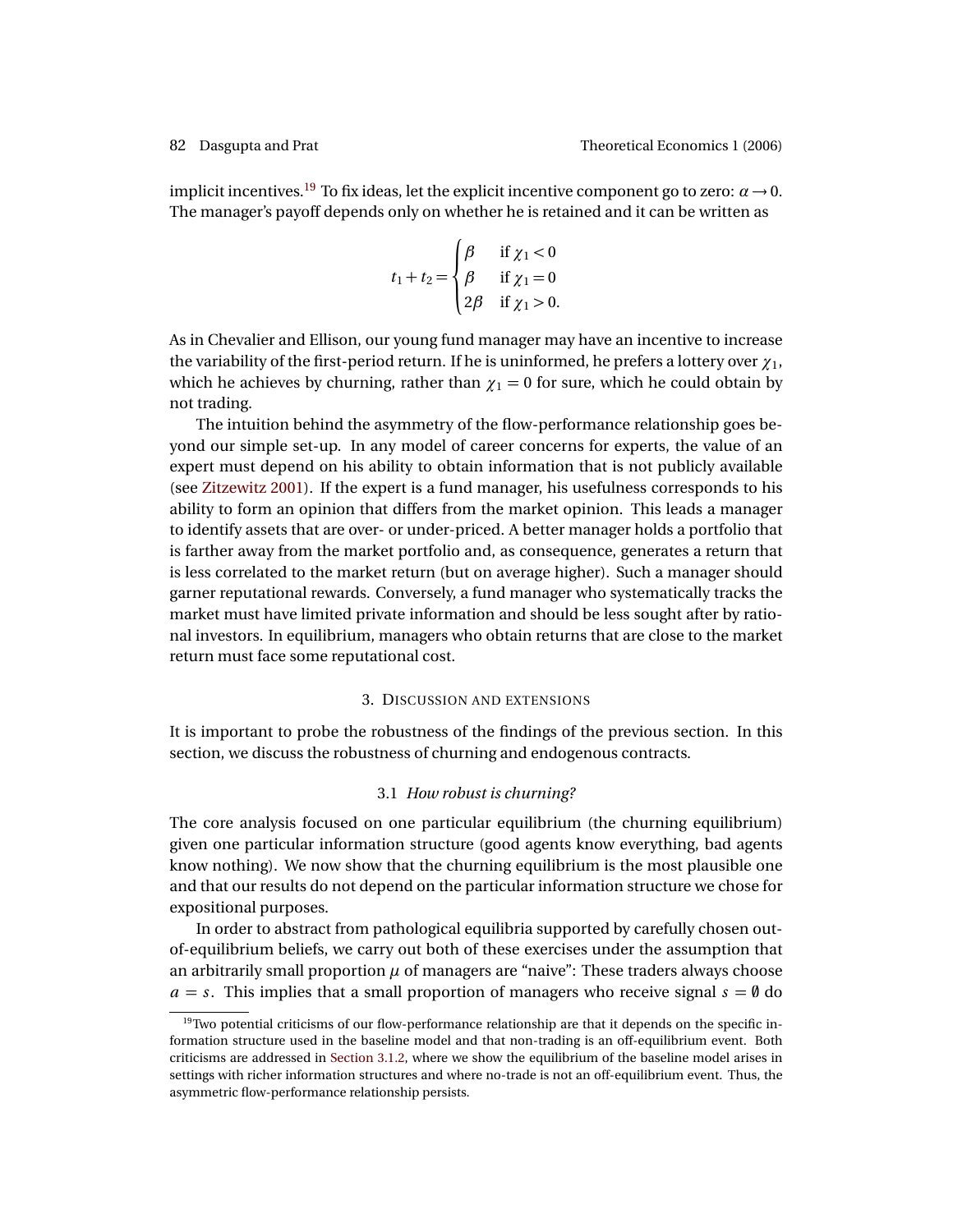<span id="page-15-2"></span>implicit incentives.<sup>[19](#page-15-1)</sup> To fix ideas, let the explicit incentive component go to zero:  $\alpha \rightarrow 0$ . The manager's payoff depends only on whether he is retained and it can be written as

$$
t_1 + t_2 = \begin{cases} \beta & \text{if } \chi_1 < 0 \\ \beta & \text{if } \chi_1 = 0 \\ 2\beta & \text{if } \chi_1 > 0. \end{cases}
$$

As in Chevalier and Ellison, our young fund manager may have an incentive to increase the variability of the first-period return. If he is uninformed, he prefers a lottery over *χ*1, which he achieves by churning, rather than  $\chi_1 = 0$  for sure, which he could obtain by not trading.

The intuition behind the asymmetry of the flow-performance relationship goes beyond our simple set-up. In any model of career concerns for experts, the value of an expert must depend on his ability to obtain information that is not publicly available (see [Zitzewitz](#page-26-11) [2001\)](#page-26-11). If the expert is a fund manager, his usefulness corresponds to his ability to form an opinion that differs from the market opinion. This leads a manager to identify assets that are over- or under-priced. A better manager holds a portfolio that is farther away from the market portfolio and, as consequence, generates a return that is less correlated to the market return (but on average higher). Such a manager should garner reputational rewards. Conversely, a fund manager who systematically tracks the market must have limited private information and should be less sought after by rational investors. In equilibrium, managers who obtain returns that are close to the market return must face some reputational cost.

## 3. DISCUSSION AND EXTENSIONS

<span id="page-15-0"></span>It is important to probe the robustness of the findings of the previous section. In this section, we discuss the robustness of churning and endogenous contracts.

### 3.1 *How robust is churning?*

The core analysis focused on one particular equilibrium (the churning equilibrium) given one particular information structure (good agents know everything, bad agents know nothing). We now show that the churning equilibrium is the most plausible one and that our results do not depend on the particular information structure we chose for expositional purposes.

In order to abstract from pathological equilibria supported by carefully chosen outof-equilibrium beliefs, we carry out both of these exercises under the assumption that an arbitrarily small proportion  $\mu$  of managers are "naive": These traders always choose  $a = s$ . This implies that a small proportion of managers who receive signal  $s = \emptyset$  do

<span id="page-15-1"></span><sup>&</sup>lt;sup>19</sup>Two potential criticisms of our flow-performance relationship are that it depends on the specific information structure used in the baseline model and that non-trading is an off-equilibrium event. Both criticisms are addressed in [Section 3.1.2,](#page-16-0) where we show the equilibrium of the baseline model arises in settings with richer information structures and where no-trade is not an off-equilibrium event. Thus, the asymmetric flow-performance relationship persists.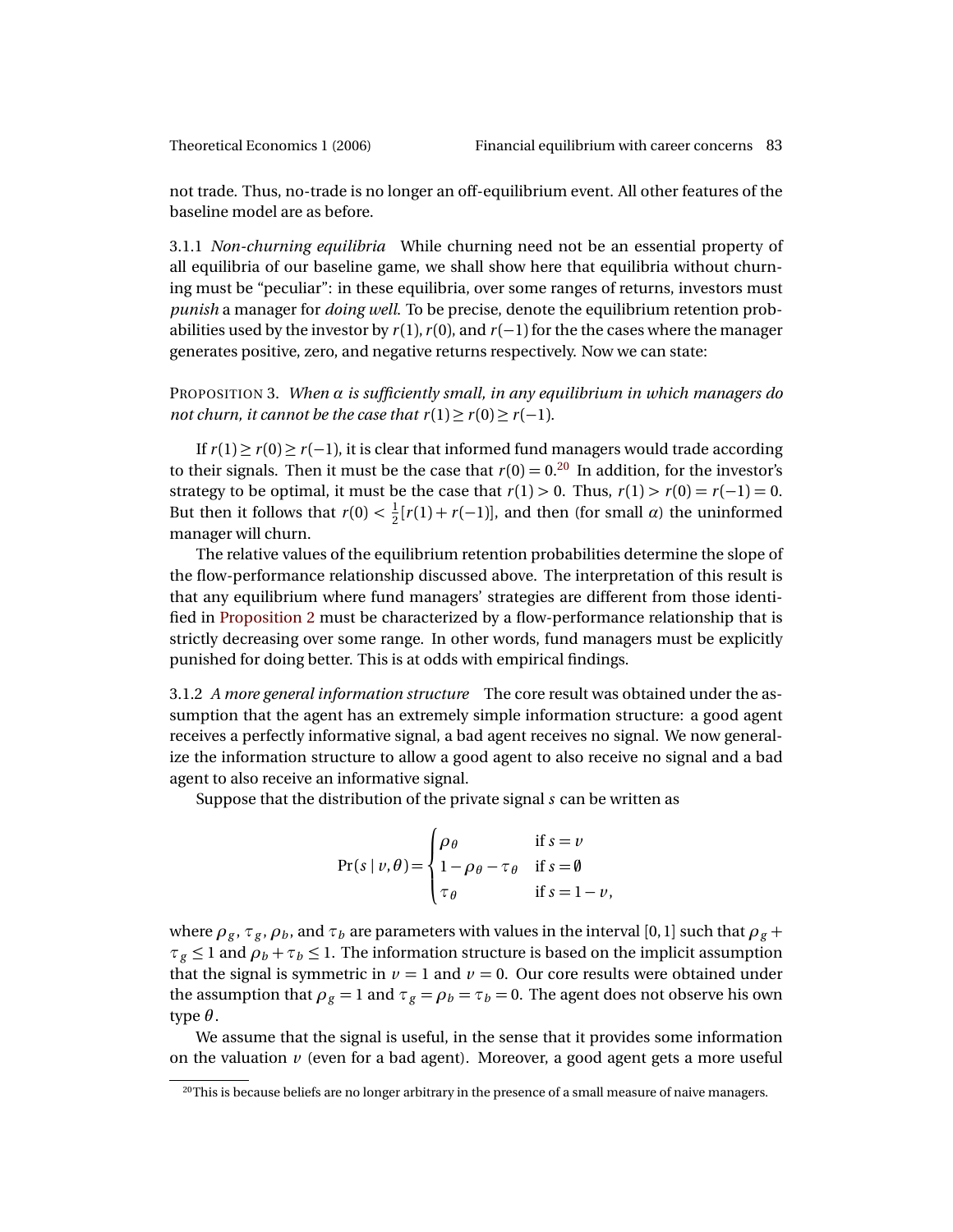not trade. Thus, no-trade is no longer an off-equilibrium event. All other features of the baseline model are as before.

3.1.1 *Non-churning equilibria* While churning need not be an essential property of all equilibria of our baseline game, we shall show here that equilibria without churning must be "peculiar": in these equilibria, over some ranges of returns, investors must *punish* a manager for *doing well*. To be precise, denote the equilibrium retention probabilities used by the investor by  $r(1)$ ,  $r(0)$ , and  $r(-1)$  for the the cases where the manager generates positive, zero, and negative returns respectively. Now we can state:

<span id="page-16-2"></span>PROPOSITION 3. *When α is sufficiently small, in any equilibrium in which managers do not churn, it cannot be the case that*  $r(1) \ge r(0) \ge r(-1)$ *.* 

If  $r(1) \ge r(0) \ge r(-1)$ , it is clear that informed fund managers would trade according to their signals. Then it must be the case that  $r(0) = 0.20$  $r(0) = 0.20$  In addition, for the investor's strategy to be optimal, it must be the case that  $r(1) > 0$ . Thus,  $r(1) > r(0) = r(-1) = 0$ . But then it follows that  $r(0) < \frac{1}{2}$  $\frac{1}{2}[r(1) + r(-1)]$ , and then (for small *α*) the uninformed manager will churn.

The relative values of the equilibrium retention probabilities determine the slope of the flow-performance relationship discussed above. The interpretation of this result is that any equilibrium where fund managers' strategies are different from those identified in [Proposition 2](#page-9-0) must be characterized by a flow-performance relationship that is strictly decreasing over some range. In other words, fund managers must be explicitly punished for doing better. This is at odds with empirical findings.

<span id="page-16-0"></span>3.1.2 *A more general information structure* The core result was obtained under the assumption that the agent has an extremely simple information structure: a good agent receives a perfectly informative signal, a bad agent receives no signal. We now generalize the information structure to allow a good agent to also receive no signal and a bad agent to also receive an informative signal.

Suppose that the distribution of the private signal *s* can be written as

$$
Pr(s | v, \theta) = \begin{cases} \rho_{\theta} & \text{if } s = v \\ 1 - \rho_{\theta} - \tau_{\theta} & \text{if } s = \theta \\ \tau_{\theta} & \text{if } s = 1 - v, \end{cases}
$$

where  $\rho_g$ ,  $\tau_g$ ,  $\rho_b$ , and  $\tau_b$  are parameters with values in the interval [0, 1] such that  $\rho_g$  +  $\tau_g \leq 1$  and  $\rho_b + \tau_b \leq 1$ . The information structure is based on the implicit assumption that the signal is symmetric in  $\nu = 1$  and  $\nu = 0$ . Our core results were obtained under the assumption that  $\rho_g = 1$  and  $\tau_g = \rho_b = \tau_b = 0$ . The agent does not observe his own type  $\theta$ .

We assume that the signal is useful, in the sense that it provides some information on the valuation  $\nu$  (even for a bad agent). Moreover, a good agent gets a more useful

<span id="page-16-1"></span> $20$ This is because beliefs are no longer arbitrary in the presence of a small measure of naive managers.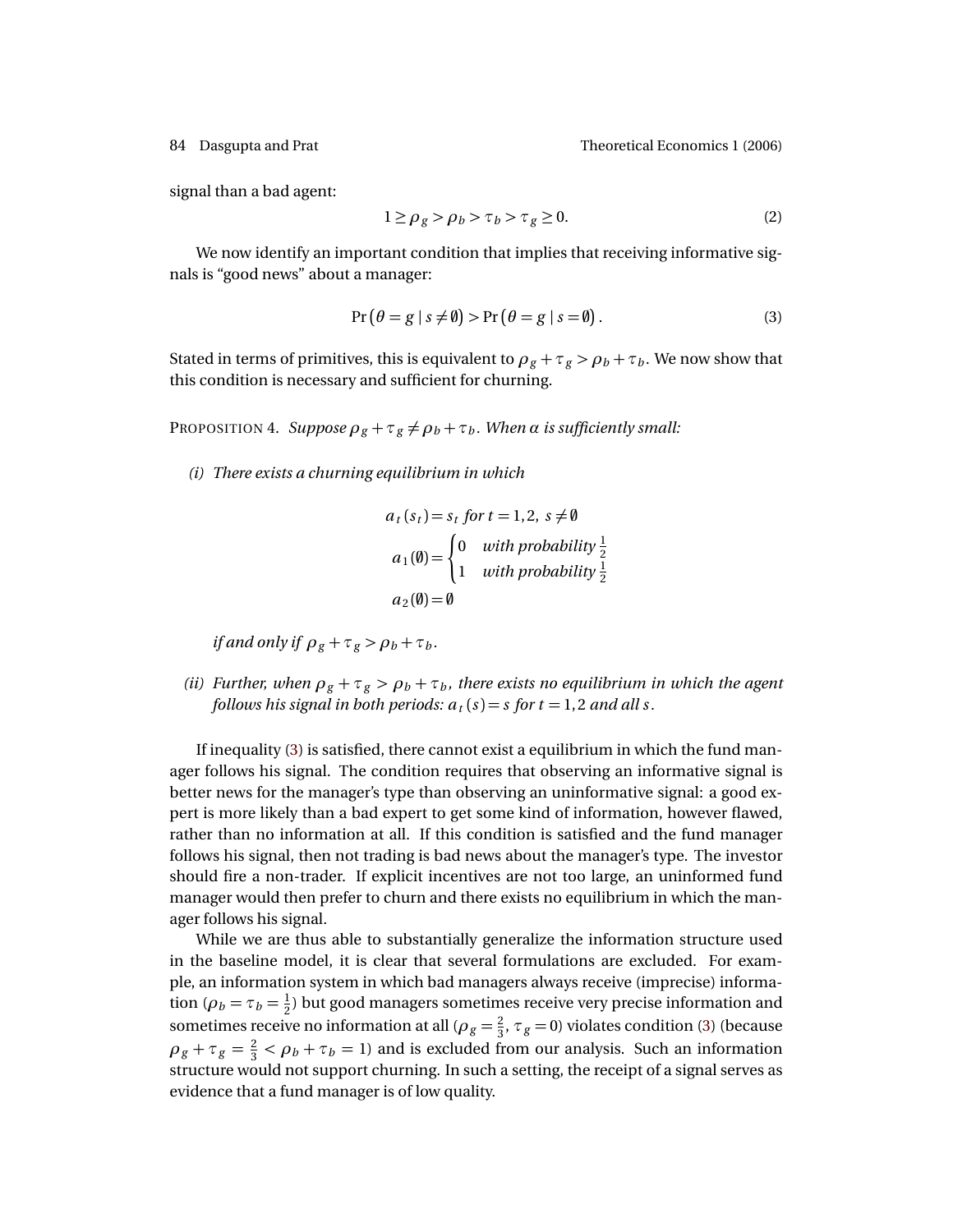84 Dasgupta and Prat Theoretical Economics 1 (2006)

signal than a bad agent:

<span id="page-17-2"></span>
$$
1 \ge \rho_g > \rho_b > \tau_b > \tau_g \ge 0. \tag{2}
$$

We now identify an important condition that implies that receiving informative signals is "good news" about a manager:

<span id="page-17-0"></span>
$$
Pr(\theta = g \mid s \neq \emptyset) > Pr(\theta = g \mid s = \emptyset).
$$
\n(3)

Stated in terms of primitives, this is equivalent to  $\rho_g + \tau_g > \rho_b + \tau_b$ . We now show that this condition is necessary and sufficient for churning.

<span id="page-17-1"></span>PROPOSITION 4. *Suppose*  $\rho_g + \tau_g \neq \rho_b + \tau_b$ . When  $\alpha$  *is sufficiently small:* 

*(i) There exists a churning equilibrium in which*

$$
a_t(s_t) = s_t \text{ for } t = 1, 2, s \neq \emptyset
$$
  
\n
$$
a_1(\emptyset) = \begin{cases} 0 & \text{with probability } \frac{1}{2} \\ 1 & \text{with probability } \frac{1}{2} \end{cases}
$$
  
\n
$$
a_2(\emptyset) = \emptyset
$$

*if and only if*  $\rho_g + \tau_g > \rho_b + \tau_b$ .

*(ii) Further, when*  $\rho_g + \tau_g > \rho_b + \tau_b$ *, there exists no equilibrium in which the agent follows his signal in both periods:*  $a_t(s) = s$  *for t* = 1, 2 *and all s*.

If inequality [\(3\)](#page-17-0) is satisfied, there cannot exist a equilibrium in which the fund manager follows his signal. The condition requires that observing an informative signal is better news for the manager's type than observing an uninformative signal: a good expert is more likely than a bad expert to get some kind of information, however flawed, rather than no information at all. If this condition is satisfied and the fund manager follows his signal, then not trading is bad news about the manager's type. The investor should fire a non-trader. If explicit incentives are not too large, an uninformed fund manager would then prefer to churn and there exists no equilibrium in which the manager follows his signal.

While we are thus able to substantially generalize the information structure used in the baseline model, it is clear that several formulations are excluded. For example, an information system in which bad managers always receive (imprecise) information ( $\rho_b = \tau_b = \frac{1}{2}$  $\frac{1}{2}$ ) but good managers sometimes receive very precise information and sometimes receive no information at all ( $\rho_g = \frac{2}{3}$  $\frac{2}{3}$ ,  $\tau_g$  = 0) violates condition [\(3\)](#page-17-0) (because  $\rho_g + \tau_g = \frac{2}{3}$  $\frac{2}{3} < \rho_b + \tau_b = 1$ ) and is excluded from our analysis. Such an information structure would not support churning. In such a setting, the receipt of a signal serves as evidence that a fund manager is of low quality.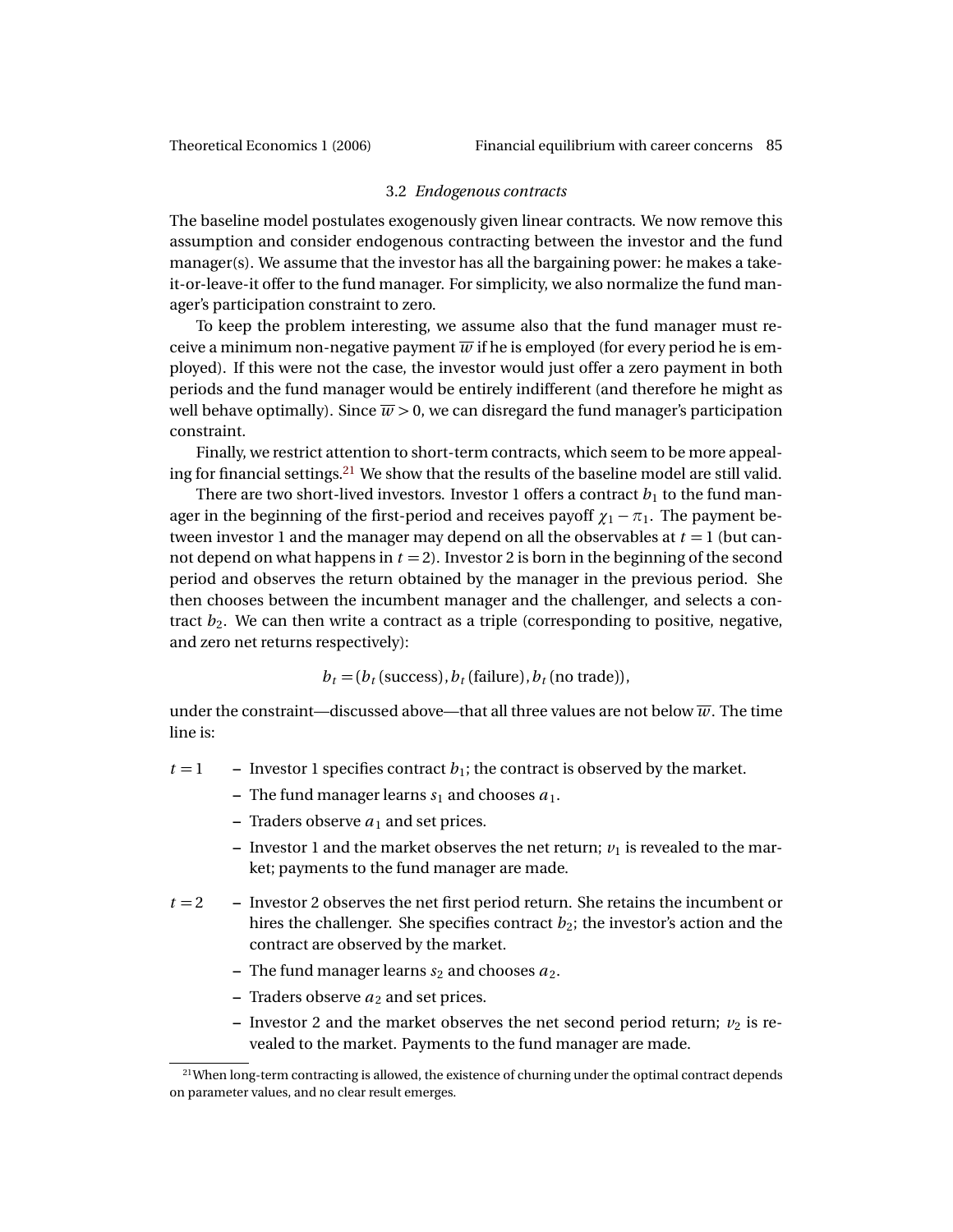### 3.2 *Endogenous contracts*

The baseline model postulates exogenously given linear contracts. We now remove this assumption and consider endogenous contracting between the investor and the fund manager(s). We assume that the investor has all the bargaining power: he makes a takeit-or-leave-it offer to the fund manager. For simplicity, we also normalize the fund manager's participation constraint to zero.

To keep the problem interesting, we assume also that the fund manager must receive a minimum non-negative payment  $\overline{w}$  if he is employed (for every period he is employed). If this were not the case, the investor would just offer a zero payment in both periods and the fund manager would be entirely indifferent (and therefore he might as well behave optimally). Since  $\overline{w} > 0$ , we can disregard the fund manager's participation constraint.

Finally, we restrict attention to short-term contracts, which seem to be more appealing for financial settings.[21](#page-18-0) We show that the results of the baseline model are still valid.

There are two short-lived investors. Investor 1 offers a contract  $b_1$  to the fund manager in the beginning of the first-period and receives payoff  $\chi_1 - \pi_1$ . The payment between investor 1 and the manager may depend on all the observables at  $t = 1$  (but cannot depend on what happens in  $t = 2$ ). Investor 2 is born in the beginning of the second period and observes the return obtained by the manager in the previous period. She then chooses between the incumbent manager and the challenger, and selects a contract  $b_2$ . We can then write a contract as a triple (corresponding to positive, negative, and zero net returns respectively):

 $b_t = (b_t$  (success),  $b_t$  (failure),  $b_t$  (no trade)),

under the constraint—discussed above—that all three values are not below  $\overline{w}$ . The time line is:

 $t = 1$  – Investor 1 specifies contract  $b_1$ ; the contract is observed by the market.

- $-$  The fund manager learns  $s_1$  and chooses  $a_1$ .
- **–** Traders observe  $a_1$  and set prices.
- **–** Investor 1 and the market observes the net return;  $v_1$  is revealed to the market; payments to the fund manager are made.
- *t* = 2 **–** Investor 2 observes the net first period return. She retains the incumbent or hires the challenger. She specifies contract  $b_2$ ; the investor's action and the contract are observed by the market.
	- $-$  The fund manager learns  $s_2$  and chooses  $a_2$ .
	- **–** Traders observe *a*<sup>2</sup> and set prices.
	- Investor 2 and the market observes the net second period return;  $v_2$  is revealed to the market. Payments to the fund manager are made.

<span id="page-18-0"></span> $21$ When long-term contracting is allowed, the existence of churning under the optimal contract depends on parameter values, and no clear result emerges.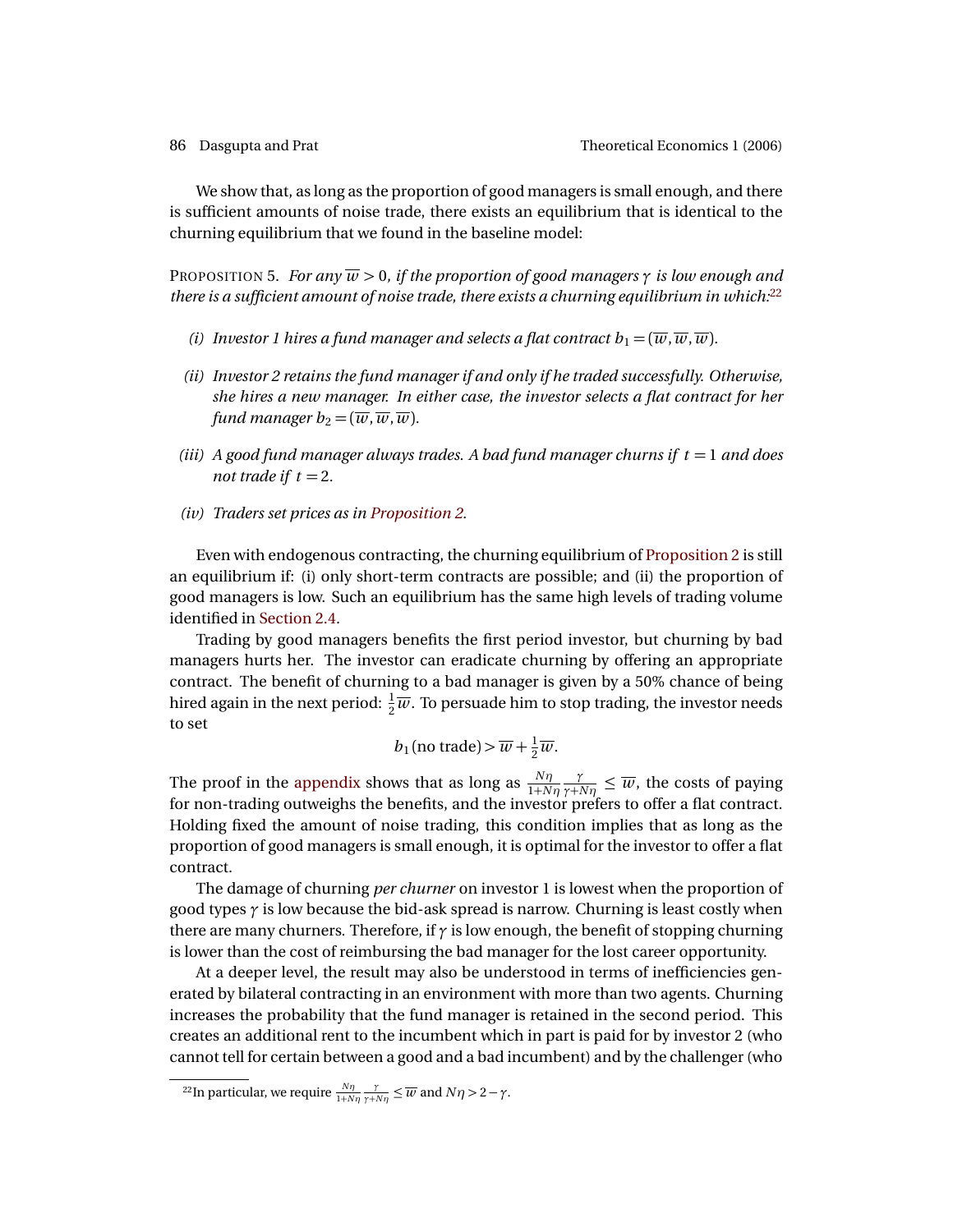We show that, as long as the proportion of good managers is small enough, and there is sufficient amounts of noise trade, there exists an equilibrium that is identical to the churning equilibrium that we found in the baseline model:

<span id="page-19-1"></span>PROPOSITION 5. *For any*  $\overline{w} > 0$ , *if the proportion of good managers*  $\gamma$  *is low enough and there is a sufficient amount of noise trade, there exists a churning equilibrium in which:*[22](#page-19-0)

- *(i) Investor 1 hires a fund manager and selects a flat contract*  $b_1 = (\overline{w}, \overline{w}, \overline{w})$ *.*
- *(ii) Investor 2 retains the fund manager if and only if he traded successfully. Otherwise, she hires a new manager. In either case, the investor selects a flat contract for her fund manager b*<sub>2</sub> =  $(\overline{w}, \overline{w}, \overline{w})$ *.*
- *(iii)*  $\hat{A}$  good fund manager always trades. A bad fund manager churns if  $t = 1$  and does *not trade if*  $t = 2$ *.*
- *(iv) Traders set prices as in [Proposition 2.](#page-9-0)*

Even with endogenous contracting, the churning equilibrium of [Proposition 2](#page-9-0) is still an equilibrium if: (i) only short-term contracts are possible; and (ii) the proportion of good managers is low. Such an equilibrium has the same high levels of trading volume identified in [Section 2.4.](#page-12-0)

Trading by good managers benefits the first period investor, but churning by bad managers hurts her. The investor can eradicate churning by offering an appropriate contract. The benefit of churning to a bad manager is given by a 50% chance of being hired again in the next period:  $\frac{1}{2} \overline{w}$ . To persuade him to stop trading, the investor needs to set

$$
b_1
$$
 (no trade) >  $\overline{w} + \frac{1}{2}\overline{w}$ .

The proof in the [appendix](#page-20-1) shows that as long as  $\frac{N\eta}{1+N\eta}$ *γ*  $\frac{\gamma}{\gamma + N\eta} \leq \overline{w}$ , the costs of paying for non-trading outweighs the benefits, and the investor prefers to offer a flat contract. Holding fixed the amount of noise trading, this condition implies that as long as the proportion of good managers is small enough, it is optimal for the investor to offer a flat contract.

The damage of churning *per churner* on investor 1 is lowest when the proportion of good types *γ* is low because the bid-ask spread is narrow. Churning is least costly when there are many churners. Therefore, if *γ* is low enough, the benefit of stopping churning is lower than the cost of reimbursing the bad manager for the lost career opportunity.

At a deeper level, the result may also be understood in terms of inefficiencies generated by bilateral contracting in an environment with more than two agents. Churning increases the probability that the fund manager is retained in the second period. This creates an additional rent to the incumbent which in part is paid for by investor 2 (who cannot tell for certain between a good and a bad incumbent) and by the challenger (who

<span id="page-19-0"></span><sup>&</sup>lt;sup>22</sup>In particular, we require  $\frac{N\eta}{1+N\eta} \frac{\gamma}{\gamma+N\eta} \leq \overline{w}$  and  $N\eta > 2 - \gamma$ .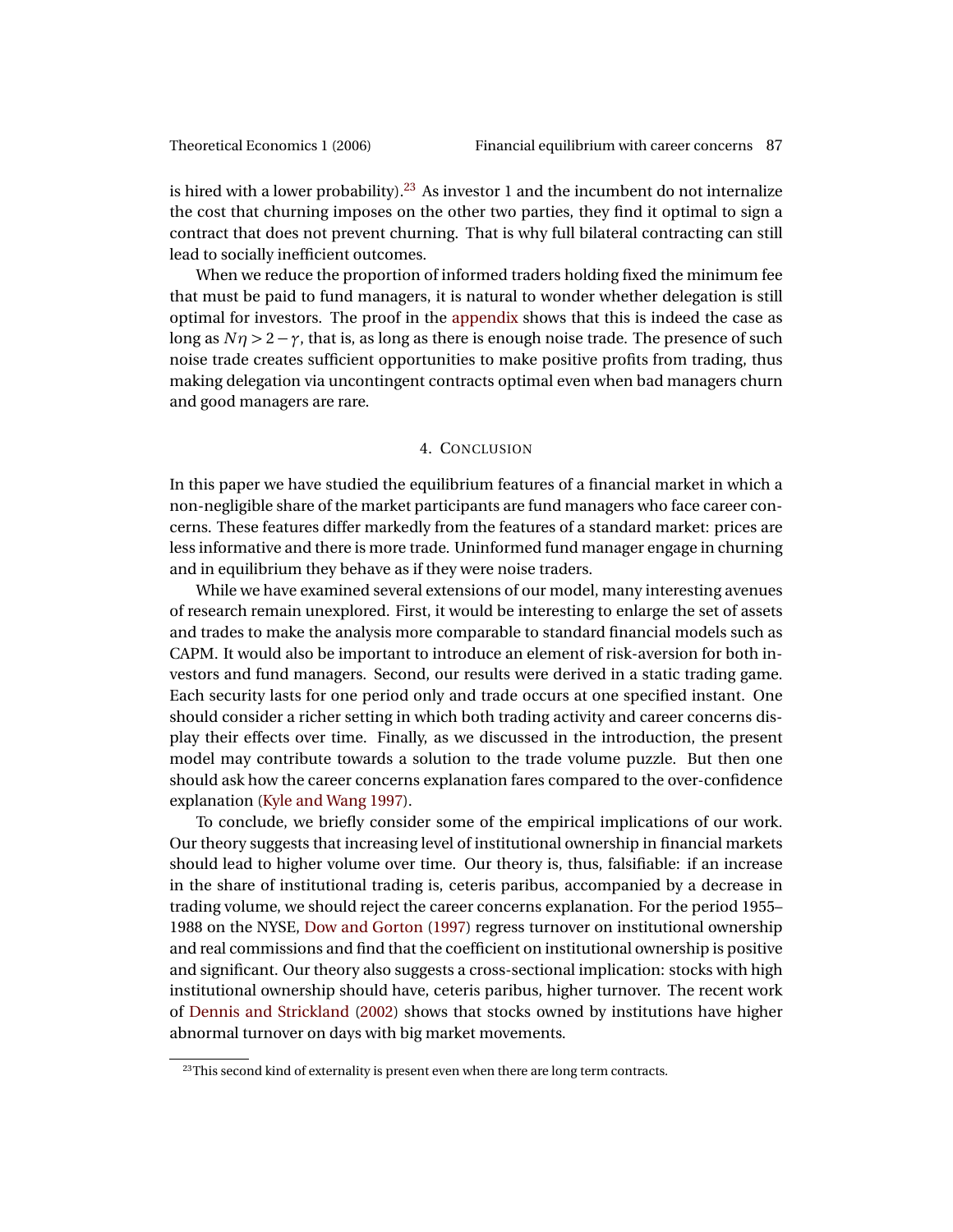<span id="page-20-3"></span>is hired with a lower probability).<sup>[23](#page-20-2)</sup> As investor 1 and the incumbent do not internalize the cost that churning imposes on the other two parties, they find it optimal to sign a contract that does not prevent churning. That is why full bilateral contracting can still lead to socially inefficient outcomes.

When we reduce the proportion of informed traders holding fixed the minimum fee that must be paid to fund managers, it is natural to wonder whether delegation is still optimal for investors. The proof in the [appendix](#page-20-1) shows that this is indeed the case as long as  $N\eta > 2 - \gamma$ , that is, as long as there is enough noise trade. The presence of such noise trade creates sufficient opportunities to make positive profits from trading, thus making delegation via uncontingent contracts optimal even when bad managers churn and good managers are rare.

## 4. CONCLUSION

<span id="page-20-0"></span>In this paper we have studied the equilibrium features of a financial market in which a non-negligible share of the market participants are fund managers who face career concerns. These features differ markedly from the features of a standard market: prices are less informative and there is more trade. Uninformed fund manager engage in churning and in equilibrium they behave as if they were noise traders.

While we have examined several extensions of our model, many interesting avenues of research remain unexplored. First, it would be interesting to enlarge the set of assets and trades to make the analysis more comparable to standard financial models such as CAPM. It would also be important to introduce an element of risk-aversion for both investors and fund managers. Second, our results were derived in a static trading game. Each security lasts for one period only and trade occurs at one specified instant. One should consider a richer setting in which both trading activity and career concerns display their effects over time. Finally, as we discussed in the introduction, the present model may contribute towards a solution to the trade volume puzzle. But then one should ask how the career concerns explanation fares compared to the over-confidence explanation [\(Kyle and Wang](#page-25-7) [1997\)](#page-25-7).

To conclude, we briefly consider some of the empirical implications of our work. Our theory suggests that increasing level of institutional ownership in financial markets should lead to higher volume over time. Our theory is, thus, falsifiable: if an increase in the share of institutional trading is, ceteris paribus, accompanied by a decrease in trading volume, we should reject the career concerns explanation. For the period 1955– 1988 on the NYSE, [Dow and Gorton](#page-25-8) [\(1997\)](#page-25-8) regress turnover on institutional ownership and real commissions and find that the coefficient on institutional ownership is positive and significant. Our theory also suggests a cross-sectional implication: stocks with high institutional ownership should have, ceteris paribus, higher turnover. The recent work of [Dennis and Strickland](#page-25-15) [\(2002\)](#page-25-15) shows that stocks owned by institutions have higher abnormal turnover on days with big market movements.

<span id="page-20-2"></span><span id="page-20-1"></span><sup>&</sup>lt;sup>23</sup>This second kind of externality is present even when there are long term contracts.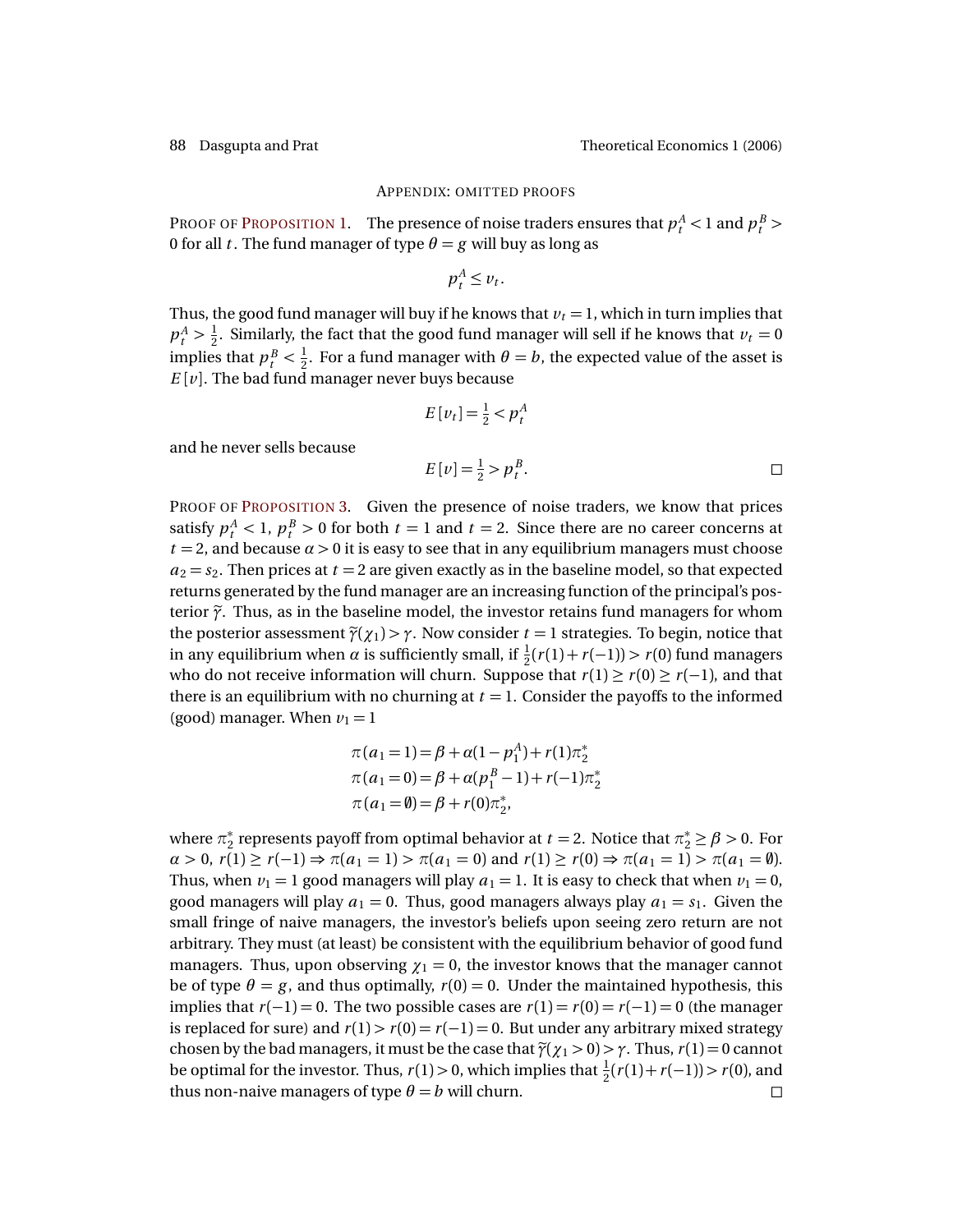and he never sells because

# APPENDIX: OMITTED PROOFS

PROOF OF P[ROPOSITION](#page-8-2) 1. The presence of noise traders ensures that  $p_t^A < 1$  and  $p_t^B > 1$ 0 for all *t*. The fund manager of type  $\theta = g$  will buy as long as

$$
p_t^A \leq v_t.
$$

Thus, the good fund manager will buy if he knows that  $v_t = 1$ , which in turn implies that  $p_t^A > \frac{1}{2}$  $\frac{1}{2}$ . Similarly, the fact that the good fund manager will sell if he knows that  $v_t = 0$ implies that  $p_t^B < \frac{1}{2}$  $\frac{1}{2}$ . For a fund manager with  $\theta = b$ , the expected value of the asset is  $E[v]$ . The bad fund manager never buys because

$$
E[v_t] = \frac{1}{2} < p_t^A
$$
\n
$$
E[v] = \frac{1}{2} > p_t^B. \qquad \Box
$$

PROOF OF P[ROPOSITION](#page-16-2) 3. Given the presence of noise traders, we know that prices satisfy  $p_t^A < 1$ ,  $p_t^B > 0$  for both  $t = 1$  and  $t = 2$ . Since there are no career concerns at  $t = 2$ , and because  $\alpha > 0$  it is easy to see that in any equilibrium managers must choose  $a_2 = s_2$ . Then prices at  $t = 2$  are given exactly as in the baseline model, so that expected returns generated by the fund manager are an increasing function of the principal's posterior  $\tilde{\gamma}$ . Thus, as in the baseline model, the investor retains fund managers for whom the posterior assessment  $\tilde{\gamma}(\chi_1) > \gamma$ . Now consider  $t = 1$  strategies. To begin, notice that in any equilibrium when *α* is sufficiently small, if  $\frac{1}{2}(r(1) + r(-1)) > r(0)$  fund managers who do not receive information will churn. Suppose that  $r(1) \ge r(0) \ge r(-1)$ , and that there is an equilibrium with no churning at  $t = 1$ . Consider the payoffs to the informed (good) manager. When  $v_1 = 1$ 

$$
\pi(a_1 = 1) = \beta + \alpha(1 - p_1^A) + r(1)\pi_2^*
$$
  
\n
$$
\pi(a_1 = 0) = \beta + \alpha(p_1^B - 1) + r(-1)\pi_2^*
$$
  
\n
$$
\pi(a_1 = \emptyset) = \beta + r(0)\pi_2^*,
$$

where  $\pi^*$  $\frac{k}{2}$  represents payoff from optimal behavior at *t* = 2. Notice that  $\pi^*_2 \ge \beta > 0$ . For  $\alpha > 0$ ,  $r(1) \ge r(-1) \Rightarrow \pi(a_1 = 1) > \pi(a_1 = 0)$  and  $r(1) \ge r(0) \Rightarrow \pi(a_1 = 1) > \pi(a_1 = \emptyset)$ . Thus, when  $v_1 = 1$  good managers will play  $a_1 = 1$ . It is easy to check that when  $v_1 = 0$ , good managers will play  $a_1 = 0$ . Thus, good managers always play  $a_1 = s_1$ . Given the small fringe of naive managers, the investor's beliefs upon seeing zero return are not arbitrary. They must (at least) be consistent with the equilibrium behavior of good fund managers. Thus, upon observing  $\chi_1 = 0$ , the investor knows that the manager cannot be of type  $\theta = g$ , and thus optimally,  $r(0) = 0$ . Under the maintained hypothesis, this implies that  $r(-1) = 0$ . The two possible cases are  $r(1) = r(0) = r(-1) = 0$  (the manager is replaced for sure) and  $r(1) > r(0) = r(-1) = 0$ . But under any arbitrary mixed strategy chosen by the bad managers, it must be the case that  $\tilde{\gamma}(\chi_1 > 0) > \gamma$ . Thus,  $r(1) = 0$  cannot be optimal for the investor. Thus,  $r(1) > 0$ , which implies that  $\frac{1}{2}(r(1) + r(-1)) > r(0)$ , and thus non-naive managers of type  $\theta = b$  will churn.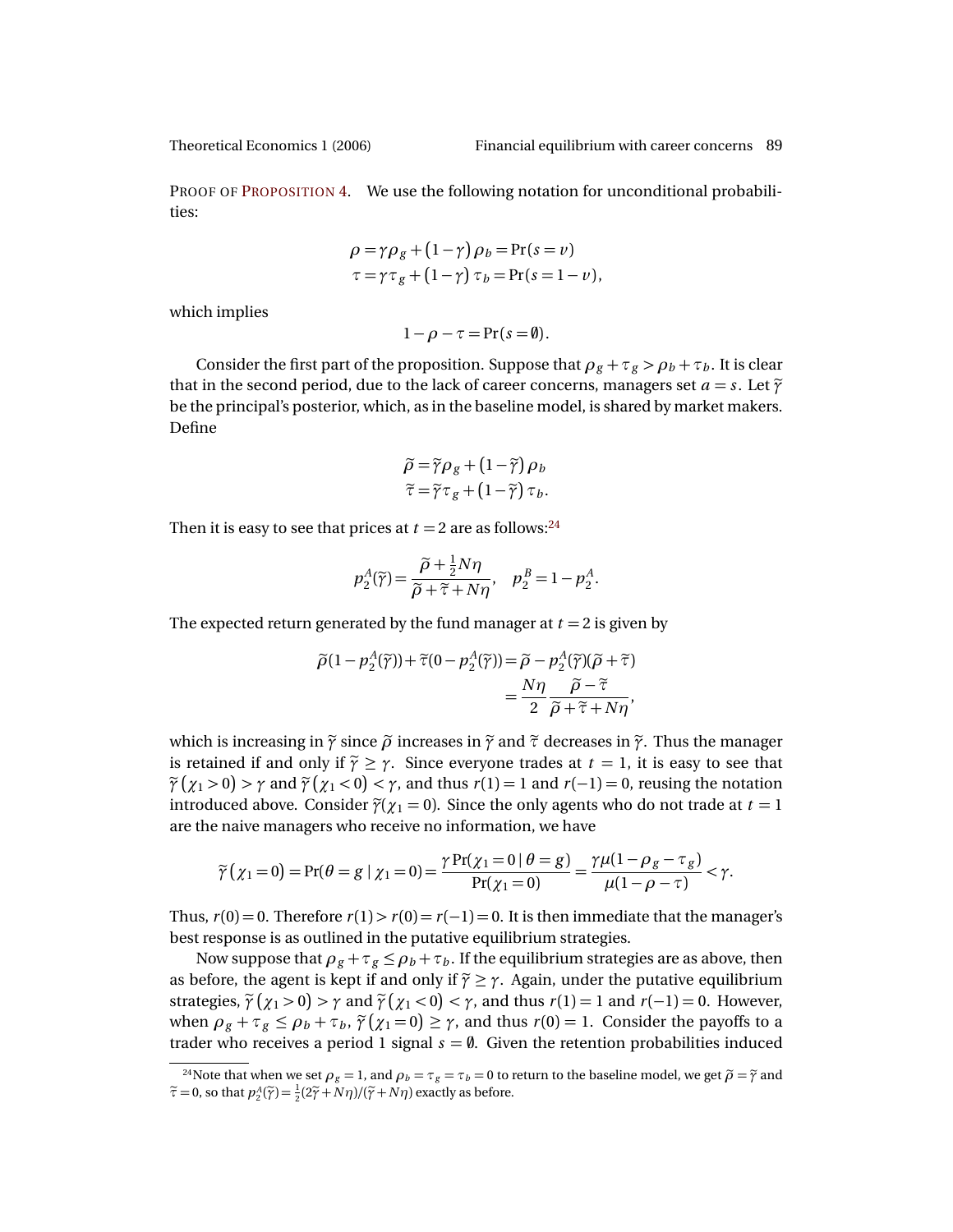PROOF OF P[ROPOSITION](#page-17-1) 4. We use the following notation for unconditional probabilities:

$$
\rho = \gamma \rho_g + (1 - \gamma) \rho_b = \Pr(s = v)
$$
  
\n
$$
\tau = \gamma \tau_g + (1 - \gamma) \tau_b = \Pr(s = 1 - v),
$$

which implies

$$
1-\rho-\tau = \Pr(s=\emptyset).
$$

Consider the first part of the proposition. Suppose that  $\rho_g + \tau_g > \rho_b + \tau_b$ . It is clear that in the second period, due to the lack of career concerns, managers set  $a = s$ . Let  $\tilde{\gamma}$ be the principal's posterior, which, as in the baseline model, is shared by market makers. Define

$$
\widetilde{\rho} = \widetilde{\gamma}\rho_g + (1 - \widetilde{\gamma})\rho_b \n\widetilde{\tau} = \widetilde{\gamma}\tau_g + (1 - \widetilde{\gamma})\tau_b.
$$

Then it is easy to see that prices at  $t = 2$  are as follows:<sup>[24](#page-22-0)</sup>

$$
p_2^A(\widetilde{\gamma}) = \frac{\widetilde{\rho} + \frac{1}{2}N\eta}{\widetilde{\rho} + \widetilde{\tau} + N\eta}, \quad p_2^B = 1 - p_2^A.
$$

The expected return generated by the fund manager at  $t = 2$  is given by

$$
\widetilde{\rho}(1 - p_2^A(\widetilde{\gamma})) + \widetilde{\tau}(0 - p_2^A(\widetilde{\gamma})) = \widetilde{\rho} - p_2^A(\widetilde{\gamma})(\widetilde{\rho} + \widetilde{\tau})
$$

$$
= \frac{N\eta}{2} \frac{\widetilde{\rho} - \widetilde{\tau}}{\widetilde{\rho} + \widetilde{\tau} + N\eta},
$$

which is increasing in  $\tilde{\gamma}$  since  $\tilde{\rho}$  increases in  $\tilde{\gamma}$  and  $\tilde{\tau}$  decreases in  $\tilde{\gamma}$ . Thus the manager is retained if and only if  $\tilde{\gamma} \geq \gamma$ . Since everyone trades at  $t = 1$ , it is easy to see that  $\tilde{\gamma}(x_1 > 0) > \gamma$  and  $\tilde{\gamma}(x_1 < 0) < \gamma$ , and thus  $r(1) = 1$  and  $r(-1) = 0$ , reusing the notation introduced above. Consider  $\tilde{\gamma}(\gamma_1 = 0)$ . Since the only agents who do not trade at  $t = 1$ are the naive managers who receive no information, we have

$$
\widetilde{\gamma}\left(\chi_1=0\right)=\Pr(\theta=g\mid \chi_1=0)=\frac{\gamma\Pr(\chi_1=0\mid \theta=g)}{\Pr(\chi_1=0)}=\frac{\gamma\mu(1-\rho_g-\tau_g)}{\mu(1-\rho-\tau)}<\gamma.
$$

Thus,  $r(0) = 0$ . Therefore  $r(1) > r(0) = r(-1) = 0$ . It is then immediate that the manager's best response is as outlined in the putative equilibrium strategies.

Now suppose that  $\rho_g + \tau_g \le \rho_b + \tau_b$ . If the equilibrium strategies are as above, then as before, the agent is kept if and only if  $\tilde{\gamma} \geq \gamma$ . Again, under the putative equilibrium strategies,  $\tilde{\gamma}(x_1 > 0) > \gamma$  and  $\tilde{\gamma}(x_1 < 0) < \gamma$ , and thus  $r(1) = 1$  and  $r(-1) = 0$ . However, when  $\rho_g + \tau_g \le \rho_b + \tau_b$ ,  $\tilde{\gamma}(\chi_1 = 0) \ge \gamma$ , and thus  $r(0) = 1$ . Consider the payoffs to a trader who receives a period 1 signal  $s = \emptyset$ . Given the retention probabilities induced

<span id="page-22-0"></span><sup>&</sup>lt;sup>24</sup>Note that when we set  $\rho_g = 1$ , and  $\rho_b = \tau_g = \tau_b = 0$  to return to the baseline model, we get  $\tilde{\rho} = \tilde{\gamma}$  and  $\tilde{\tau} = 0$ , so that  $p_2^A(\tilde{\gamma}) = \frac{1}{2}(2\tilde{\gamma} + N\eta)/(\tilde{\gamma} + N\eta)$  exactly as before.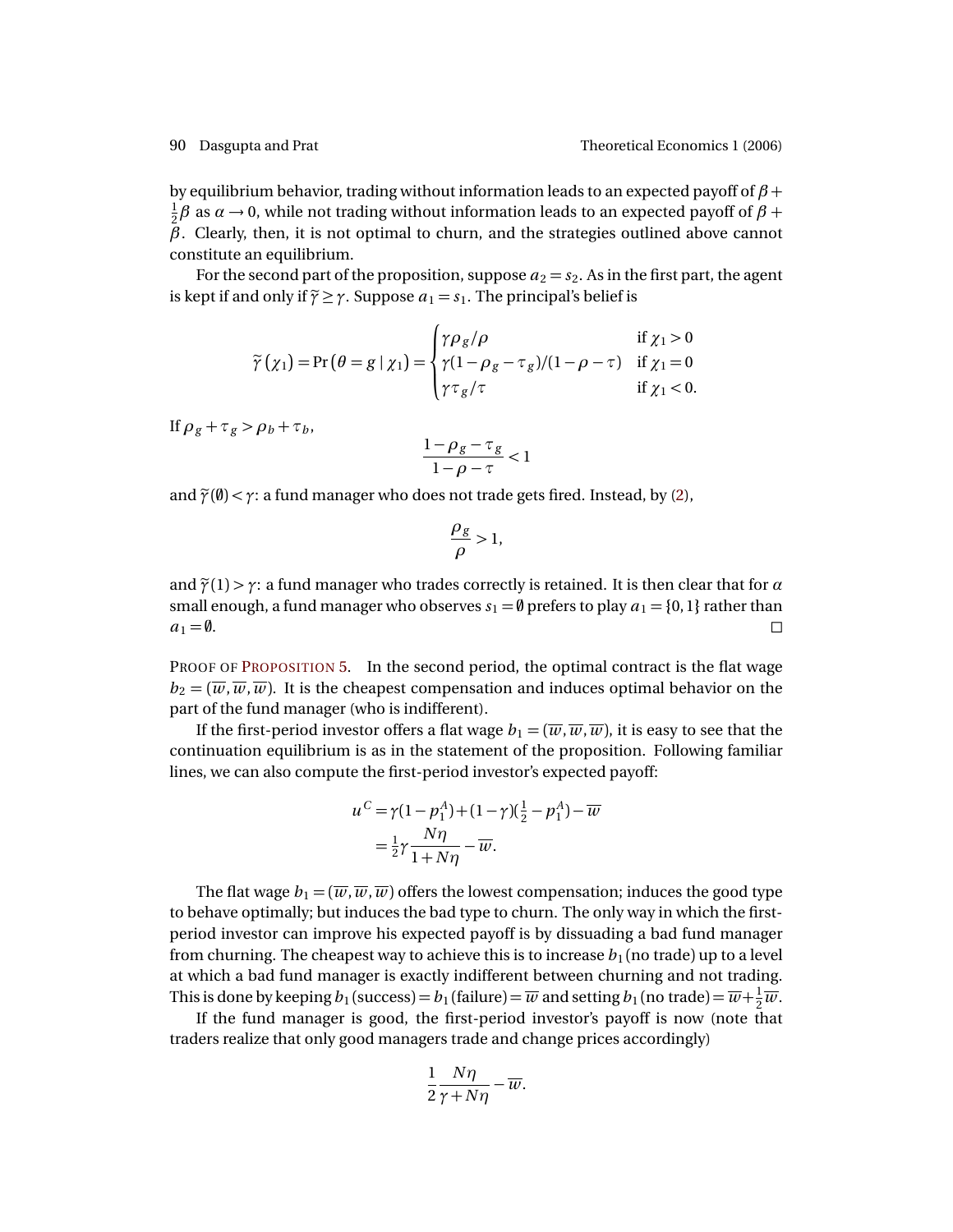by equilibrium behavior, trading without information leads to an expected payoff of *β* + 1  $\frac{1}{2}$ β as *α* → 0, while not trading without information leads to an expected payoff of β + *β*. Clearly, then, it is not optimal to churn, and the strategies outlined above cannot constitute an equilibrium.

For the second part of the proposition, suppose  $a_2 = s_2$ . As in the first part, the agent is kept if and only if  $\tilde{\gamma} \geq \gamma$ . Suppose  $a_1 = s_1$ . The principal's belief is

$$
\widetilde{\gamma}(\chi_1) = \Pr(\theta = g \mid \chi_1) = \begin{cases}\n\gamma \rho_g/\rho & \text{if } \chi_1 > 0 \\
\gamma (1 - \rho_g - \tau_g)/(1 - \rho - \tau) & \text{if } \chi_1 = 0 \\
\gamma \tau_g/\tau & \text{if } \chi_1 < 0.\n\end{cases}
$$

If  $\rho_g + \tau_g > \rho_b + \tau_b$ ,

$$
\frac{1-\rho_g-\tau_g}{1-\rho-\tau} < 1
$$

and  $\tilde{\gamma}(\emptyset) < \gamma$ : a fund manager who does not trade gets fired. Instead, by [\(2\)](#page-17-2),

$$
\frac{\rho_g}{\rho} > 1,
$$

and  $\tilde{\gamma}(1) > \gamma$ : a fund manager who trades correctly is retained. It is then clear that for  $\alpha$ small enough, a fund manager who observes  $s_1 = \emptyset$  prefers to play  $a_1 = \{0, 1\}$  rather than  $a_1 = \emptyset.$ 

PROOF OF P[ROPOSITION](#page-19-1) 5. In the second period, the optimal contract is the flat wage  $b_2 = (\overline{w}, \overline{w}, \overline{w})$ . It is the cheapest compensation and induces optimal behavior on the part of the fund manager (who is indifferent).

If the first-period investor offers a flat wage  $b_1 = (\overline{w}, \overline{w}, \overline{w})$ , it is easy to see that the continuation equilibrium is as in the statement of the proposition. Following familiar lines, we can also compute the first-period investor's expected payoff:

$$
u^C = \gamma (1 - p_1^A) + (1 - \gamma)(\frac{1}{2} - p_1^A) - \overline{w}
$$
  
=  $\frac{1}{2}\gamma \frac{N\eta}{1 + N\eta} - \overline{w}$ .

The flat wage  $b_1 = (\overline{w}, \overline{w}, \overline{w})$  offers the lowest compensation; induces the good type to behave optimally; but induces the bad type to churn. The only way in which the firstperiod investor can improve his expected payoff is by dissuading a bad fund manager from churning. The cheapest way to achieve this is to increase  $b_1$  (no trade) up to a level at which a bad fund manager is exactly indifferent between churning and not trading. This is done by keeping  $b_1$  (success)  $=b_1$  (failure)  $=\overline{w}$  and setting  $b_1$  (no trade)  $=\overline{w}+\frac{1}{2}$  $rac{1}{2}\overline{w}$ .

If the fund manager is good, the first-period investor's payoff is now (note that traders realize that only good managers trade and change prices accordingly)

$$
\frac{1}{2}\frac{N\eta}{\gamma+N\eta}-\overline{w}.
$$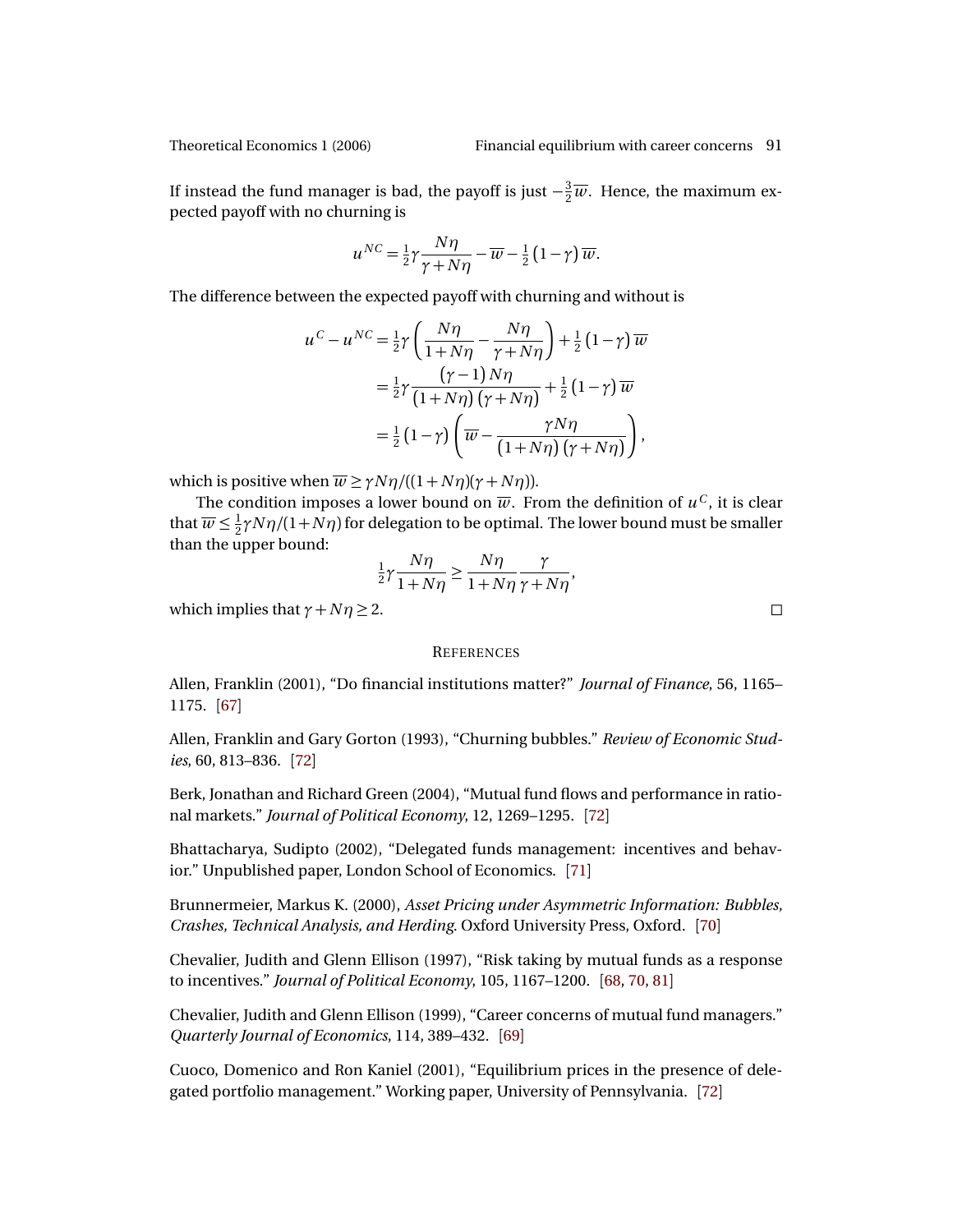If instead the fund manager is bad, the payoff is just  $-\frac{3}{2}$  $\frac{3}{2}\overline{w}$ . Hence, the maximum expected payoff with no churning is

$$
u^{NC} = \frac{1}{2}\gamma \frac{N\eta}{\gamma + N\eta} - \overline{w} - \frac{1}{2}(1 - \gamma)\,\overline{w}.
$$

The difference between the expected payoff with churning and without is

$$
u^{C} - u^{NC} = \frac{1}{2}\gamma \left(\frac{N\eta}{1+N\eta} - \frac{N\eta}{\gamma + N\eta}\right) + \frac{1}{2}(1-\gamma)\overline{w}
$$
  

$$
= \frac{1}{2}\gamma \frac{(\gamma - 1)N\eta}{(1+N\eta)(\gamma + N\eta)} + \frac{1}{2}(1-\gamma)\overline{w}
$$
  

$$
= \frac{1}{2}(1-\gamma)\left(\overline{w} - \frac{\gamma N\eta}{(1+N\eta)(\gamma + N\eta)}\right),
$$

which is positive when  $\overline{w} \ge \gamma N \eta / ((1 + N \eta)(\gamma + N \eta)).$ 

The condition imposes a lower bound on  $\overline{w}.$  From the definition of  $u^C$ , it is clear that  $\overline{w} \leq \frac{1}{2}$  $\frac{1}{2} \gamma N \eta/(1+N\eta)$  for delegation to be optimal. The lower bound must be smaller than the upper bound:

$$
\frac{1}{2}\gamma \frac{N\eta}{1+N\eta} \ge \frac{N\eta}{1+N\eta} \frac{\gamma}{\gamma+N\eta},
$$

which implies that  $\gamma + N\eta \geq 2$ .

### **REFERENCES**

<span id="page-24-0"></span>Allen, Franklin (2001), "Do financial institutions matter?" *Journal of Finance*, 56, 1165– 1175. [[67](#page-0-1)]

<span id="page-24-5"></span>Allen, Franklin and Gary Gorton (1993), "Churning bubbles." *Review of Economic Studies*, 60, 813–836. [[72](#page-5-0)]

<span id="page-24-6"></span>Berk, Jonathan and Richard Green (2004), "Mutual fund flows and performance in rational markets." *Journal of Political Economy*, 12, 1269–1295. [[72](#page-5-0)]

<span id="page-24-4"></span>Bhattacharya, Sudipto (2002), "Delegated funds management: incentives and behavior." Unpublished paper, London School of Economics. [[71](#page-4-1)]

<span id="page-24-3"></span>Brunnermeier, Markus K. (2000), *Asset Pricing under Asymmetric Information: Bubbles, Crashes, Technical Analysis, and Herding*. Oxford University Press, Oxford. [[70](#page-3-1)]

<span id="page-24-1"></span>Chevalier, Judith and Glenn Ellison (1997), "Risk taking by mutual funds as a response to incentives." *Journal of Political Economy*, 105, 1167–1200. [[68,](#page-1-6) [70,](#page-3-1) [81](#page-14-0)]

<span id="page-24-2"></span>Chevalier, Judith and Glenn Ellison (1999), "Career concerns of mutual fund managers." *Quarterly Journal of Economics*, 114, 389–432. [[69](#page-2-0)]

<span id="page-24-7"></span>Cuoco, Domenico and Ron Kaniel (2001), "Equilibrium prices in the presence of delegated portfolio management." Working paper, University of Pennsylvania. [[72](#page-5-0)]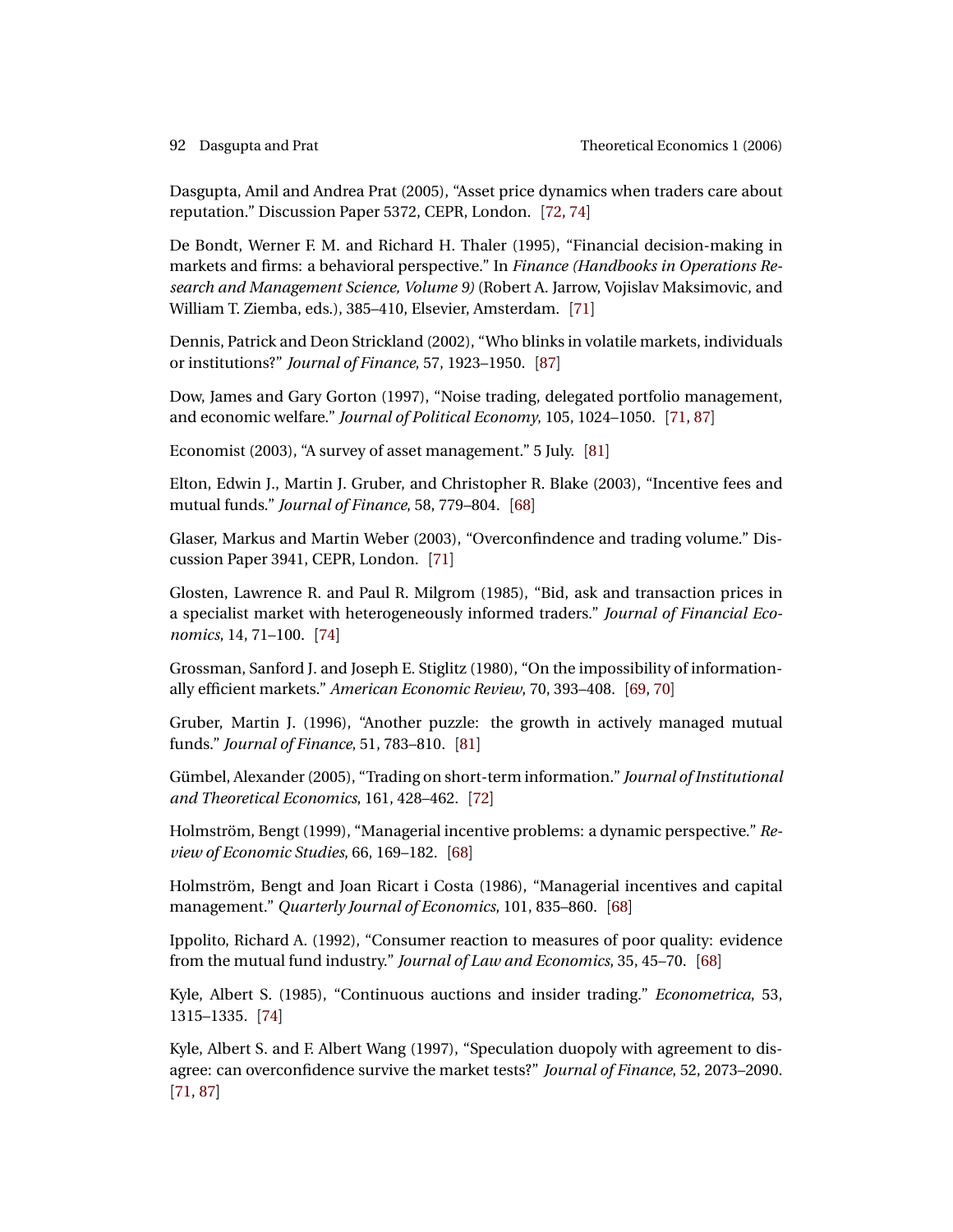<span id="page-25-9"></span>Dasgupta, Amil and Andrea Prat (2005), "Asset price dynamics when traders care about reputation." Discussion Paper 5372, CEPR, London. [[72,](#page-5-0) [74](#page-7-2)]

<span id="page-25-6"></span>De Bondt, Werner F. M. and Richard H. Thaler (1995), "Financial decision-making in markets and firms: a behavioral perspective." In *Finance (Handbooks in Operations Research and Management Science, Volume 9)* (Robert A. Jarrow, Vojislav Maksimovic, and William T. Ziemba, eds.), 385–410, Elsevier, Amsterdam. [[71](#page-4-1)]

<span id="page-25-15"></span>Dennis, Patrick and Deon Strickland (2002), "Who blinks in volatile markets, individuals or institutions?" *Journal of Finance*, 57, 1923–1950. [[87](#page-20-3)]

<span id="page-25-8"></span>Dow, James and Gary Gorton (1997), "Noise trading, delegated portfolio management, and economic welfare." *Journal of Political Economy*, 105, 1024–1050. [[71,](#page-4-1) [87](#page-20-3)]

<span id="page-25-14"></span>Economist (2003), "A survey of asset management." 5 July. [[81](#page-14-0)]

<span id="page-25-3"></span>Elton, Edwin J., Martin J. Gruber, and Christopher R. Blake (2003), "Incentive fees and mutual funds." *Journal of Finance*, 58, 779–804. [[68](#page-1-6)]

<span id="page-25-5"></span>Glaser, Markus and Martin Weber (2003), "Overconfindence and trading volume." Discussion Paper 3941, CEPR, London. [[71](#page-4-1)]

<span id="page-25-11"></span>Glosten, Lawrence R. and Paul R. Milgrom (1985), "Bid, ask and transaction prices in a specialist market with heterogeneously informed traders." *Journal of Financial Economics*, 14, 71–100. [[74](#page-7-2)]

<span id="page-25-4"></span>Grossman, Sanford J. and Joseph E. Stiglitz (1980), "On the impossibility of informationally efficient markets." *American Economic Review*, 70, 393–408. [[69,](#page-2-0) [70](#page-3-1)]

<span id="page-25-13"></span>Gruber, Martin J. (1996), "Another puzzle: the growth in actively managed mutual funds." *Journal of Finance*, 51, 783–810. [[81](#page-14-0)]

<span id="page-25-10"></span>Gümbel, Alexander (2005), "Trading on short-term information." *Journal of Institutional and Theoretical Economics*, 161, 428–462. [[72](#page-5-0)]

<span id="page-25-2"></span>Holmström, Bengt (1999), "Managerial incentive problems: a dynamic perspective." *Review of Economic Studies*, 66, 169–182. [[68](#page-1-6)]

<span id="page-25-1"></span>Holmström, Bengt and Joan Ricart i Costa (1986), "Managerial incentives and capital management." *Quarterly Journal of Economics*, 101, 835–860. [[68](#page-1-6)]

<span id="page-25-0"></span>Ippolito, Richard A. (1992), "Consumer reaction to measures of poor quality: evidence from the mutual fund industry." *Journal of Law and Economics*, 35, 45–70. [[68](#page-1-6)]

<span id="page-25-12"></span>Kyle, Albert S. (1985), "Continuous auctions and insider trading." *Econometrica*, 53, 1315–1335. [[74](#page-7-2)]

<span id="page-25-7"></span>Kyle, Albert S. and F. Albert Wang (1997), "Speculation duopoly with agreement to disagree: can overconfidence survive the market tests?" *Journal of Finance*, 52, 2073–2090. [[71,](#page-4-1) [87](#page-20-3)]